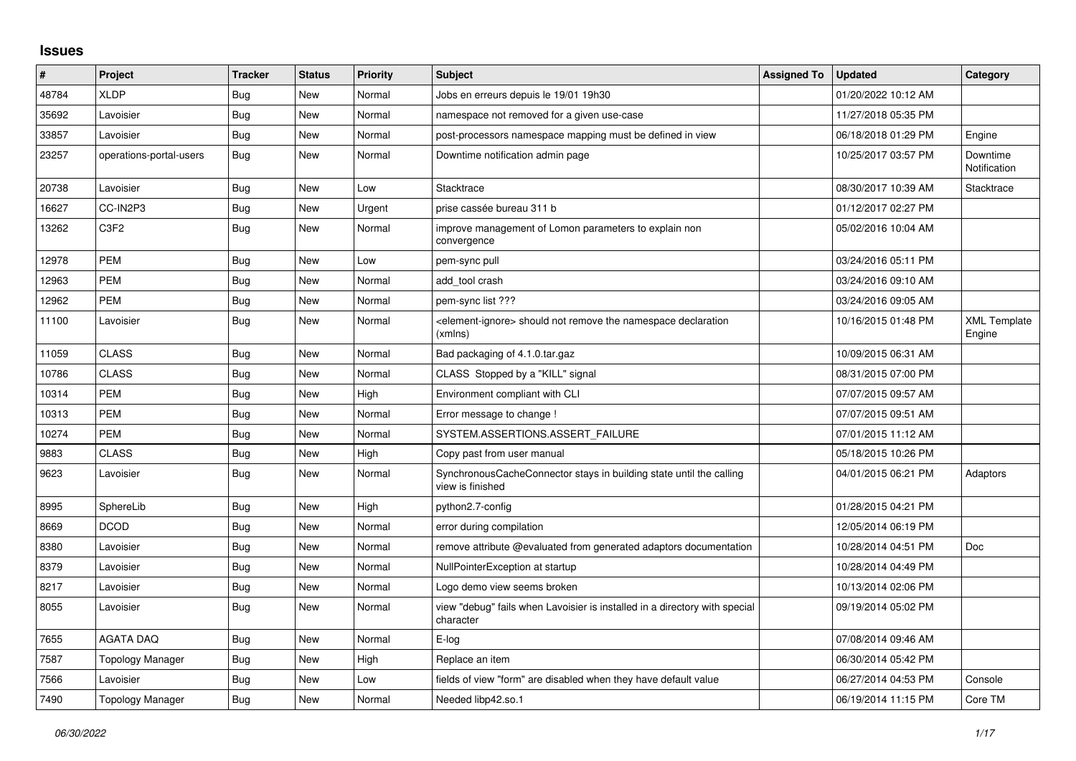## **Issues**

| #     | Project                 | <b>Tracker</b> | <b>Status</b> | <b>Priority</b> | Subject                                                                                   | <b>Assigned To</b> | <b>Updated</b>      | Category                      |
|-------|-------------------------|----------------|---------------|-----------------|-------------------------------------------------------------------------------------------|--------------------|---------------------|-------------------------------|
| 48784 | <b>XLDP</b>             | Bug            | <b>New</b>    | Normal          | Jobs en erreurs depuis le 19/01 19h30                                                     |                    | 01/20/2022 10:12 AM |                               |
| 35692 | Lavoisier               | Bug            | <b>New</b>    | Normal          | namespace not removed for a given use-case                                                |                    | 11/27/2018 05:35 PM |                               |
| 33857 | Lavoisier               | Bug            | New           | Normal          | post-processors namespace mapping must be defined in view                                 |                    | 06/18/2018 01:29 PM | Engine                        |
| 23257 | operations-portal-users | Bug            | New           | Normal          | Downtime notification admin page                                                          |                    | 10/25/2017 03:57 PM | Downtime<br>Notification      |
| 20738 | Lavoisier               | Bug            | New           | Low             | Stacktrace                                                                                |                    | 08/30/2017 10:39 AM | Stacktrace                    |
| 16627 | CC-IN2P3                | <b>Bug</b>     | <b>New</b>    | Urgent          | prise cassée bureau 311 b                                                                 |                    | 01/12/2017 02:27 PM |                               |
| 13262 | C <sub>3F2</sub>        | Bug            | New           | Normal          | improve management of Lomon parameters to explain non<br>convergence                      |                    | 05/02/2016 10:04 AM |                               |
| 12978 | <b>PEM</b>              | Bug            | <b>New</b>    | Low             | pem-sync pull                                                                             |                    | 03/24/2016 05:11 PM |                               |
| 12963 | <b>PEM</b>              | <b>Bug</b>     | <b>New</b>    | Normal          | add tool crash                                                                            |                    | 03/24/2016 09:10 AM |                               |
| 12962 | <b>PEM</b>              | <b>Bug</b>     | New           | Normal          | pem-sync list ???                                                                         |                    | 03/24/2016 09:05 AM |                               |
| 11100 | Lavoisier               | <b>Bug</b>     | <b>New</b>    | Normal          | <element-ignore> should not remove the namespace declaration<br/>(xmlns)</element-ignore> |                    | 10/16/2015 01:48 PM | <b>XML Template</b><br>Engine |
| 11059 | <b>CLASS</b>            | Bug            | New           | Normal          | Bad packaging of 4.1.0.tar.gaz                                                            |                    | 10/09/2015 06:31 AM |                               |
| 10786 | <b>CLASS</b>            | Bug            | <b>New</b>    | Normal          | CLASS Stopped by a "KILL" signal                                                          |                    | 08/31/2015 07:00 PM |                               |
| 10314 | <b>PEM</b>              | Bug            | New           | High            | Environment compliant with CLI                                                            |                    | 07/07/2015 09:57 AM |                               |
| 10313 | <b>PEM</b>              | <b>Bug</b>     | <b>New</b>    | Normal          | Error message to change !                                                                 |                    | 07/07/2015 09:51 AM |                               |
| 10274 | <b>PEM</b>              | <b>Bug</b>     | <b>New</b>    | Normal          | SYSTEM.ASSERTIONS.ASSERT FAILURE                                                          |                    | 07/01/2015 11:12 AM |                               |
| 9883  | <b>CLASS</b>            | Bug            | New           | High            | Copy past from user manual                                                                |                    | 05/18/2015 10:26 PM |                               |
| 9623  | Lavoisier               | <b>Bug</b>     | <b>New</b>    | Normal          | SynchronousCacheConnector stays in building state until the calling<br>view is finished   |                    | 04/01/2015 06:21 PM | Adaptors                      |
| 8995  | SphereLib               | Bug            | New           | High            | python2.7-config                                                                          |                    | 01/28/2015 04:21 PM |                               |
| 8669  | <b>DCOD</b>             | Bug            | <b>New</b>    | Normal          | error during compilation                                                                  |                    | 12/05/2014 06:19 PM |                               |
| 8380  | Lavoisier               | Bug            | New           | Normal          | remove attribute @evaluated from generated adaptors documentation                         |                    | 10/28/2014 04:51 PM | Doc                           |
| 8379  | Lavoisier               | Bug            | <b>New</b>    | Normal          | NullPointerException at startup                                                           |                    | 10/28/2014 04:49 PM |                               |
| 8217  | Lavoisier               | Bug            | <b>New</b>    | Normal          | Logo demo view seems broken                                                               |                    | 10/13/2014 02:06 PM |                               |
| 8055  | Lavoisier               | Bug            | New           | Normal          | view "debug" fails when Lavoisier is installed in a directory with special<br>character   |                    | 09/19/2014 05:02 PM |                               |
| 7655  | <b>AGATA DAQ</b>        | Bug            | <b>New</b>    | Normal          | E-log                                                                                     |                    | 07/08/2014 09:46 AM |                               |
| 7587  | Topology Manager        | Bug            | New           | High            | Replace an item                                                                           |                    | 06/30/2014 05:42 PM |                               |
| 7566  | Lavoisier               | Bug            | <b>New</b>    | Low             | fields of view "form" are disabled when they have default value                           |                    | 06/27/2014 04:53 PM | Console                       |
| 7490  | <b>Topology Manager</b> | Bug            | <b>New</b>    | Normal          | Needed libp42.so.1                                                                        |                    | 06/19/2014 11:15 PM | Core TM                       |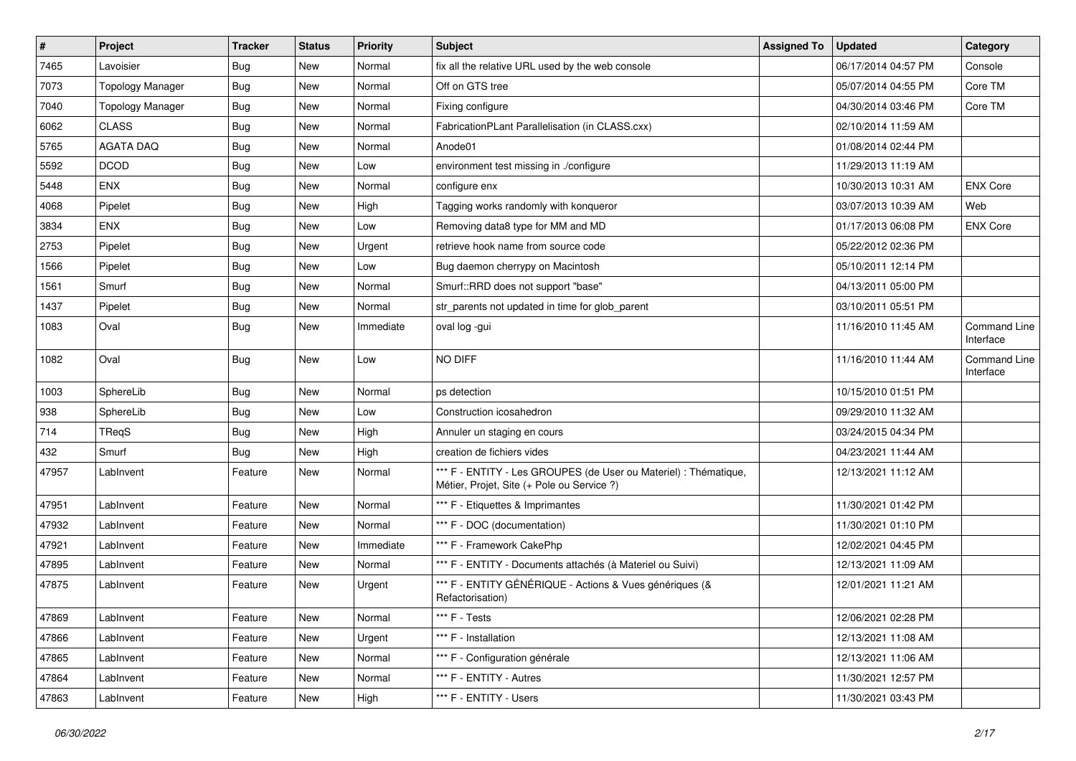| $\vert$ # | Project                 | <b>Tracker</b> | <b>Status</b> | <b>Priority</b> | Subject                                                                                                        | <b>Assigned To</b> | <b>Updated</b>      | Category                         |
|-----------|-------------------------|----------------|---------------|-----------------|----------------------------------------------------------------------------------------------------------------|--------------------|---------------------|----------------------------------|
| 7465      | Lavoisier               | Bug            | New           | Normal          | fix all the relative URL used by the web console                                                               |                    | 06/17/2014 04:57 PM | Console                          |
| 7073      | <b>Topology Manager</b> | Bug            | New           | Normal          | Off on GTS tree                                                                                                |                    | 05/07/2014 04:55 PM | Core TM                          |
| 7040      | <b>Topology Manager</b> | Bug            | New           | Normal          | Fixing configure                                                                                               |                    | 04/30/2014 03:46 PM | Core TM                          |
| 6062      | <b>CLASS</b>            | Bug            | New           | Normal          | FabricationPLant Parallelisation (in CLASS.cxx)                                                                |                    | 02/10/2014 11:59 AM |                                  |
| 5765      | <b>AGATA DAQ</b>        | Bug            | <b>New</b>    | Normal          | Anode01                                                                                                        |                    | 01/08/2014 02:44 PM |                                  |
| 5592      | <b>DCOD</b>             | Bug            | New           | Low             | environment test missing in ./configure                                                                        |                    | 11/29/2013 11:19 AM |                                  |
| 5448      | <b>ENX</b>              | Bug            | <b>New</b>    | Normal          | configure enx                                                                                                  |                    | 10/30/2013 10:31 AM | <b>ENX Core</b>                  |
| 4068      | Pipelet                 | Bug            | New           | High            | Tagging works randomly with konqueror                                                                          |                    | 03/07/2013 10:39 AM | Web                              |
| 3834      | <b>ENX</b>              | <b>Bug</b>     | New           | Low             | Removing data8 type for MM and MD                                                                              |                    | 01/17/2013 06:08 PM | <b>ENX Core</b>                  |
| 2753      | Pipelet                 | Bug            | <b>New</b>    | Urgent          | retrieve hook name from source code                                                                            |                    | 05/22/2012 02:36 PM |                                  |
| 1566      | Pipelet                 | <b>Bug</b>     | New           | Low             | Bug daemon cherrypy on Macintosh                                                                               |                    | 05/10/2011 12:14 PM |                                  |
| 1561      | Smurf                   | Bug            | <b>New</b>    | Normal          | Smurf::RRD does not support "base"                                                                             |                    | 04/13/2011 05:00 PM |                                  |
| 1437      | Pipelet                 | Bug            | New           | Normal          | str_parents not updated in time for glob_parent                                                                |                    | 03/10/2011 05:51 PM |                                  |
| 1083      | Oval                    | Bug            | <b>New</b>    | Immediate       | oval log -gui                                                                                                  |                    | 11/16/2010 11:45 AM | <b>Command Line</b><br>Interface |
| 1082      | Oval                    | Bug            | New           | Low             | NO DIFF                                                                                                        |                    | 11/16/2010 11:44 AM | Command Line<br>Interface        |
| 1003      | SphereLib               | Bug            | <b>New</b>    | Normal          | ps detection                                                                                                   |                    | 10/15/2010 01:51 PM |                                  |
| 938       | SphereLib               | <b>Bug</b>     | New           | Low             | Construction icosahedron                                                                                       |                    | 09/29/2010 11:32 AM |                                  |
| 714       | TReqS                   | Bug            | <b>New</b>    | High            | Annuler un staging en cours                                                                                    |                    | 03/24/2015 04:34 PM |                                  |
| 432       | Smurf                   | Bug            | New           | High            | creation de fichiers vides                                                                                     |                    | 04/23/2021 11:44 AM |                                  |
| 47957     | LabInvent               | Feature        | New           | Normal          | *** F - ENTITY - Les GROUPES (de User ou Materiel) : Thématique,<br>Métier, Projet, Site (+ Pole ou Service ?) |                    | 12/13/2021 11:12 AM |                                  |
| 47951     | LabInvent               | Feature        | New           | Normal          | *** F - Etiquettes & Imprimantes                                                                               |                    | 11/30/2021 01:42 PM |                                  |
| 47932     | LabInvent               | Feature        | New           | Normal          | *** F - DOC (documentation)                                                                                    |                    | 11/30/2021 01:10 PM |                                  |
| 47921     | LabInvent               | Feature        | New           | Immediate       | *** F - Framework CakePhp                                                                                      |                    | 12/02/2021 04:45 PM |                                  |
| 47895     | LabInvent               | Feature        | New           | Normal          | *** F - ENTITY - Documents attachés (à Materiel ou Suivi)                                                      |                    | 12/13/2021 11:09 AM |                                  |
| 47875     | LabInvent               | Feature        | <b>New</b>    | Urgent          | *** F - ENTITY GÉNÉRIQUE - Actions & Vues génériques (&<br>Refactorisation)                                    |                    | 12/01/2021 11:21 AM |                                  |
| 47869     | LabInvent               | Feature        | New           | Normal          | *** F - Tests                                                                                                  |                    | 12/06/2021 02:28 PM |                                  |
| 47866     | LabInvent               | Feature        | New           | Urgent          | *** F - Installation                                                                                           |                    | 12/13/2021 11:08 AM |                                  |
| 47865     | LabInvent               | Feature        | New           | Normal          | *** F - Configuration générale                                                                                 |                    | 12/13/2021 11:06 AM |                                  |
| 47864     | LabInvent               | Feature        | New           | Normal          | *** F - ENTITY - Autres                                                                                        |                    | 11/30/2021 12:57 PM |                                  |
| 47863     | LabInvent               | Feature        | New           | High            | *** F - ENTITY - Users                                                                                         |                    | 11/30/2021 03:43 PM |                                  |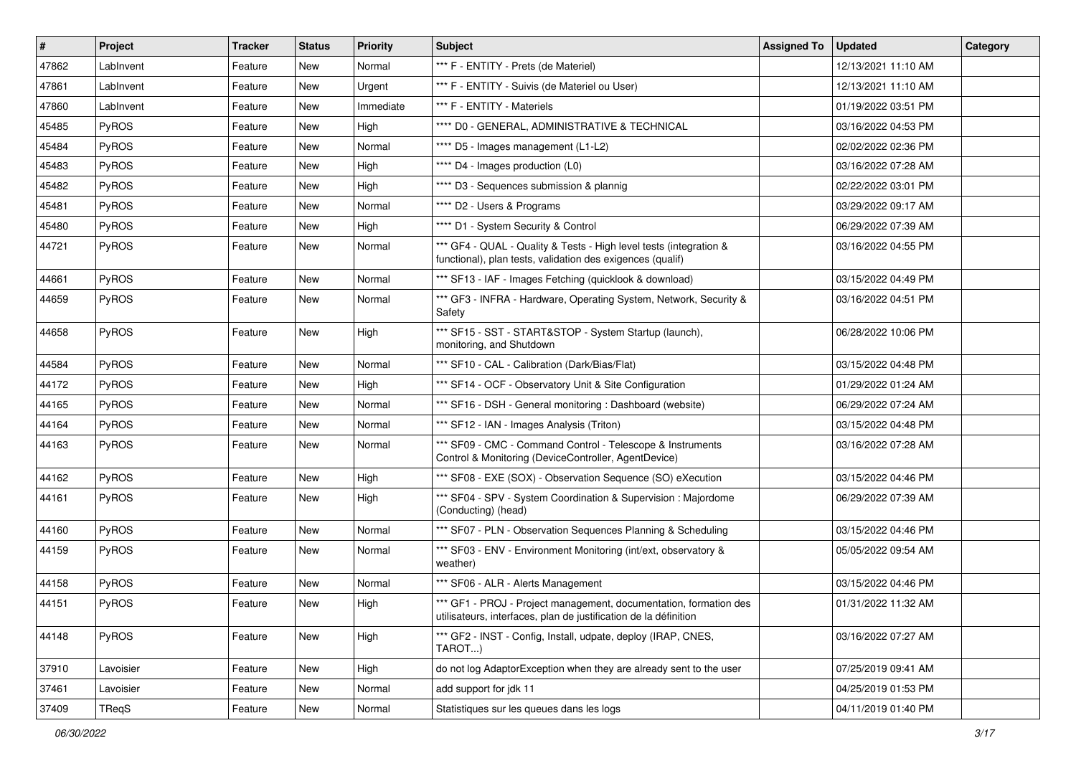| $\vert$ # | Project      | <b>Tracker</b> | <b>Status</b> | <b>Priority</b> | <b>Subject</b>                                                                                                                        | <b>Assigned To</b> | <b>Updated</b>      | Category |
|-----------|--------------|----------------|---------------|-----------------|---------------------------------------------------------------------------------------------------------------------------------------|--------------------|---------------------|----------|
| 47862     | LabInvent    | Feature        | New           | Normal          | *** F - ENTITY - Prets (de Materiel)                                                                                                  |                    | 12/13/2021 11:10 AM |          |
| 47861     | LabInvent    | Feature        | New           | Urgent          | *** F - ENTITY - Suivis (de Materiel ou User)                                                                                         |                    | 12/13/2021 11:10 AM |          |
| 47860     | LabInvent    | Feature        | New           | Immediate       | *** F - ENTITY - Materiels                                                                                                            |                    | 01/19/2022 03:51 PM |          |
| 45485     | PyROS        | Feature        | New           | High            | **** D0 - GENERAL, ADMINISTRATIVE & TECHNICAL                                                                                         |                    | 03/16/2022 04:53 PM |          |
| 45484     | PyROS        | Feature        | New           | Normal          | **** D5 - Images management (L1-L2)                                                                                                   |                    | 02/02/2022 02:36 PM |          |
| 45483     | PyROS        | Feature        | New           | High            | **** D4 - Images production (L0)                                                                                                      |                    | 03/16/2022 07:28 AM |          |
| 45482     | PyROS        | Feature        | New           | High            | **** D3 - Sequences submission & plannig                                                                                              |                    | 02/22/2022 03:01 PM |          |
| 45481     | PyROS        | Feature        | New           | Normal          | **** D2 - Users & Programs                                                                                                            |                    | 03/29/2022 09:17 AM |          |
| 45480     | PyROS        | Feature        | New           | High            | **** D1 - System Security & Control                                                                                                   |                    | 06/29/2022 07:39 AM |          |
| 44721     | PyROS        | Feature        | New           | Normal          | *** GF4 - QUAL - Quality & Tests - High level tests (integration &<br>functional), plan tests, validation des exigences (qualif)      |                    | 03/16/2022 04:55 PM |          |
| 44661     | PyROS        | Feature        | New           | Normal          | *** SF13 - IAF - Images Fetching (quicklook & download)                                                                               |                    | 03/15/2022 04:49 PM |          |
| 44659     | PyROS        | Feature        | New           | Normal          | *** GF3 - INFRA - Hardware, Operating System, Network, Security &<br>Safety                                                           |                    | 03/16/2022 04:51 PM |          |
| 44658     | PyROS        | Feature        | New           | High            | *** SF15 - SST - START&STOP - System Startup (launch),<br>monitoring, and Shutdown                                                    |                    | 06/28/2022 10:06 PM |          |
| 44584     | PyROS        | Feature        | New           | Normal          | *** SF10 - CAL - Calibration (Dark/Bias/Flat)                                                                                         |                    | 03/15/2022 04:48 PM |          |
| 44172     | PyROS        | Feature        | New           | High            | *** SF14 - OCF - Observatory Unit & Site Configuration                                                                                |                    | 01/29/2022 01:24 AM |          |
| 44165     | PyROS        | Feature        | New           | Normal          | *** SF16 - DSH - General monitoring : Dashboard (website)                                                                             |                    | 06/29/2022 07:24 AM |          |
| 44164     | PyROS        | Feature        | New           | Normal          | *** SF12 - IAN - Images Analysis (Triton)                                                                                             |                    | 03/15/2022 04:48 PM |          |
| 44163     | PyROS        | Feature        | New           | Normal          | *** SF09 - CMC - Command Control - Telescope & Instruments<br>Control & Monitoring (DeviceController, AgentDevice)                    |                    | 03/16/2022 07:28 AM |          |
| 44162     | PyROS        | Feature        | <b>New</b>    | High            | *** SF08 - EXE (SOX) - Observation Sequence (SO) eXecution                                                                            |                    | 03/15/2022 04:46 PM |          |
| 44161     | <b>PyROS</b> | Feature        | New           | High            | *** SF04 - SPV - System Coordination & Supervision : Majordome<br>(Conducting) (head)                                                 |                    | 06/29/2022 07:39 AM |          |
| 44160     | PyROS        | Feature        | New           | Normal          | *** SF07 - PLN - Observation Sequences Planning & Scheduling                                                                          |                    | 03/15/2022 04:46 PM |          |
| 44159     | <b>PyROS</b> | Feature        | New           | Normal          | *** SF03 - ENV - Environment Monitoring (int/ext, observatory &<br>weather)                                                           |                    | 05/05/2022 09:54 AM |          |
| 44158     | PyROS        | Feature        | <b>New</b>    | Normal          | *** SF06 - ALR - Alerts Management                                                                                                    |                    | 03/15/2022 04:46 PM |          |
| 44151     | PyROS        | Feature        | New           | High            | *** GF1 - PROJ - Project management, documentation, formation des<br>utilisateurs, interfaces, plan de justification de la définition |                    | 01/31/2022 11:32 AM |          |
| 44148     | PyROS        | Feature        | New           | High            | *** GF2 - INST - Config, Install, udpate, deploy (IRAP, CNES,<br>TAROT)                                                               |                    | 03/16/2022 07:27 AM |          |
| 37910     | Lavoisier    | Feature        | New           | High            | do not log AdaptorException when they are already sent to the user                                                                    |                    | 07/25/2019 09:41 AM |          |
| 37461     | Lavoisier    | Feature        | New           | Normal          | add support for jdk 11                                                                                                                |                    | 04/25/2019 01:53 PM |          |
| 37409     | TReqS        | Feature        | New           | Normal          | Statistiques sur les queues dans les logs                                                                                             |                    | 04/11/2019 01:40 PM |          |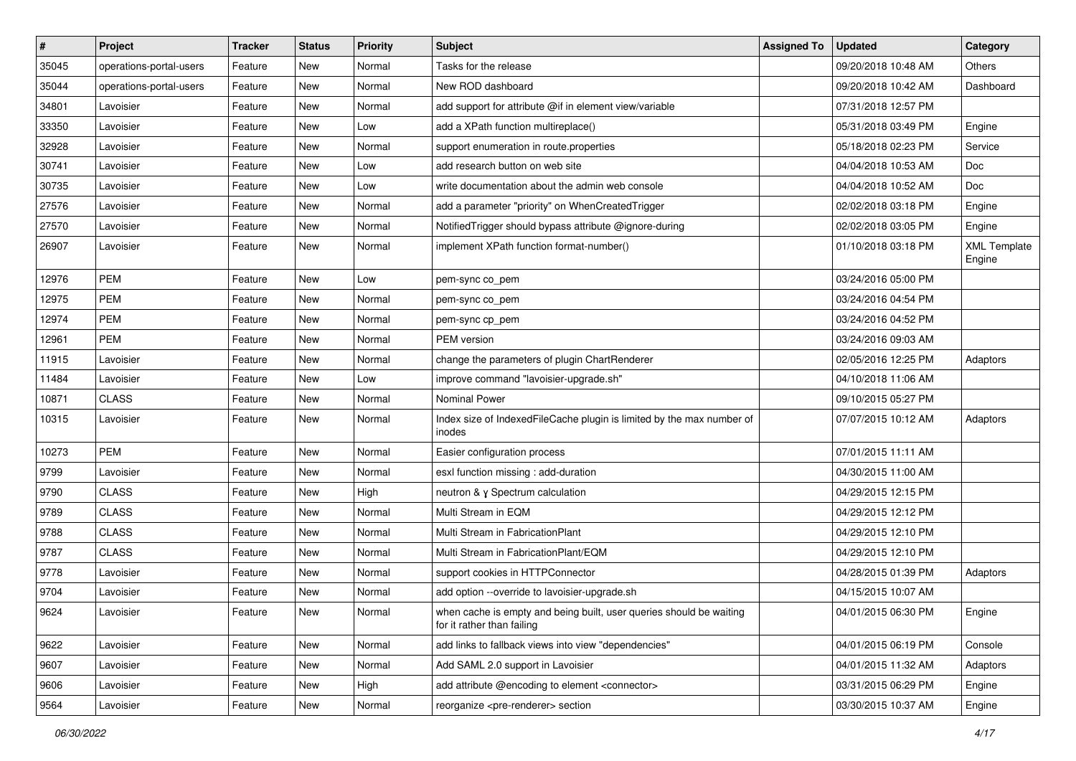| $\vert$ # | Project                 | <b>Tracker</b> | <b>Status</b> | <b>Priority</b> | Subject                                                                                           | <b>Assigned To</b> | <b>Updated</b>      | Category                      |
|-----------|-------------------------|----------------|---------------|-----------------|---------------------------------------------------------------------------------------------------|--------------------|---------------------|-------------------------------|
| 35045     | operations-portal-users | Feature        | New           | Normal          | Tasks for the release                                                                             |                    | 09/20/2018 10:48 AM | Others                        |
| 35044     | operations-portal-users | Feature        | <b>New</b>    | Normal          | New ROD dashboard                                                                                 |                    | 09/20/2018 10:42 AM | Dashboard                     |
| 34801     | Lavoisier               | Feature        | New           | Normal          | add support for attribute @if in element view/variable                                            |                    | 07/31/2018 12:57 PM |                               |
| 33350     | Lavoisier               | Feature        | New           | Low             | add a XPath function multireplace()                                                               |                    | 05/31/2018 03:49 PM | Engine                        |
| 32928     | Lavoisier               | Feature        | <b>New</b>    | Normal          | support enumeration in route properties                                                           |                    | 05/18/2018 02:23 PM | Service                       |
| 30741     | Lavoisier               | Feature        | New           | Low             | add research button on web site                                                                   |                    | 04/04/2018 10:53 AM | Doc                           |
| 30735     | Lavoisier               | Feature        | <b>New</b>    | Low             | write documentation about the admin web console                                                   |                    | 04/04/2018 10:52 AM | Doc                           |
| 27576     | Lavoisier               | Feature        | New           | Normal          | add a parameter "priority" on WhenCreatedTrigger                                                  |                    | 02/02/2018 03:18 PM | Engine                        |
| 27570     | Lavoisier               | Feature        | New           | Normal          | NotifiedTrigger should bypass attribute @ignore-during                                            |                    | 02/02/2018 03:05 PM | Engine                        |
| 26907     | Lavoisier               | Feature        | New           | Normal          | implement XPath function format-number()                                                          |                    | 01/10/2018 03:18 PM | <b>XML Template</b><br>Engine |
| 12976     | <b>PEM</b>              | Feature        | <b>New</b>    | Low             | pem-sync co_pem                                                                                   |                    | 03/24/2016 05:00 PM |                               |
| 12975     | PEM                     | Feature        | New           | Normal          | pem-sync co_pem                                                                                   |                    | 03/24/2016 04:54 PM |                               |
| 12974     | <b>PEM</b>              | Feature        | New           | Normal          | pem-sync cp_pem                                                                                   |                    | 03/24/2016 04:52 PM |                               |
| 12961     | <b>PEM</b>              | Feature        | <b>New</b>    | Normal          | PEM version                                                                                       |                    | 03/24/2016 09:03 AM |                               |
| 11915     | Lavoisier               | Feature        | New           | Normal          | change the parameters of plugin ChartRenderer                                                     |                    | 02/05/2016 12:25 PM | Adaptors                      |
| 11484     | Lavoisier               | Feature        | New           | Low             | improve command "lavoisier-upgrade.sh"                                                            |                    | 04/10/2018 11:06 AM |                               |
| 10871     | <b>CLASS</b>            | Feature        | New           | Normal          | Nominal Power                                                                                     |                    | 09/10/2015 05:27 PM |                               |
| 10315     | Lavoisier               | Feature        | New           | Normal          | Index size of IndexedFileCache plugin is limited by the max number of<br>inodes                   |                    | 07/07/2015 10:12 AM | Adaptors                      |
| 10273     | <b>PEM</b>              | Feature        | New           | Normal          | Easier configuration process                                                                      |                    | 07/01/2015 11:11 AM |                               |
| 9799      | Lavoisier               | Feature        | <b>New</b>    | Normal          | esxl function missing : add-duration                                                              |                    | 04/30/2015 11:00 AM |                               |
| 9790      | <b>CLASS</b>            | Feature        | New           | High            | neutron & y Spectrum calculation                                                                  |                    | 04/29/2015 12:15 PM |                               |
| 9789      | <b>CLASS</b>            | Feature        | <b>New</b>    | Normal          | Multi Stream in EQM                                                                               |                    | 04/29/2015 12:12 PM |                               |
| 9788      | <b>CLASS</b>            | Feature        | New           | Normal          | Multi Stream in FabricationPlant                                                                  |                    | 04/29/2015 12:10 PM |                               |
| 9787      | <b>CLASS</b>            | Feature        | New           | Normal          | Multi Stream in FabricationPlant/EQM                                                              |                    | 04/29/2015 12:10 PM |                               |
| 9778      | Lavoisier               | Feature        | New           | Normal          | support cookies in HTTPConnector                                                                  |                    | 04/28/2015 01:39 PM | Adaptors                      |
| 9704      | Lavoisier               | Feature        | <b>New</b>    | Normal          | add option --override to lavoisier-upgrade.sh                                                     |                    | 04/15/2015 10:07 AM |                               |
| 9624      | Lavoisier               | Feature        | New           | Normal          | when cache is empty and being built, user queries should be waiting<br>for it rather than failing |                    | 04/01/2015 06:30 PM | Engine                        |
| 9622      | Lavoisier               | Feature        | New           | Normal          | add links to fallback views into view "dependencies"                                              |                    | 04/01/2015 06:19 PM | Console                       |
| 9607      | Lavoisier               | Feature        | New           | Normal          | Add SAML 2.0 support in Lavoisier                                                                 |                    | 04/01/2015 11:32 AM | Adaptors                      |
| 9606      | Lavoisier               | Feature        | New           | High            | add attribute @encoding to element <connector></connector>                                        |                    | 03/31/2015 06:29 PM | Engine                        |
| 9564      | Lavoisier               | Feature        | New           | Normal          | reorganize <pre-renderer> section</pre-renderer>                                                  |                    | 03/30/2015 10:37 AM | Engine                        |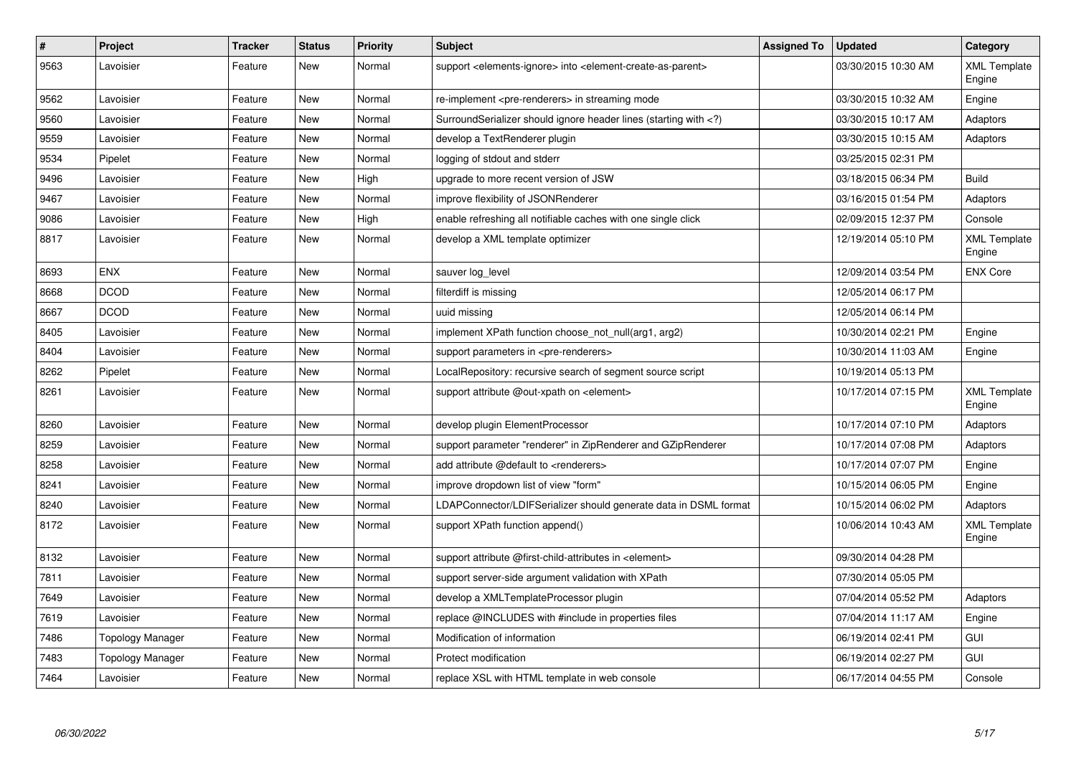| $\vert$ # | Project          | <b>Tracker</b> | <b>Status</b> | <b>Priority</b> | <b>Subject</b>                                                                                                              | <b>Assigned To</b> | <b>Updated</b>      | Category                      |
|-----------|------------------|----------------|---------------|-----------------|-----------------------------------------------------------------------------------------------------------------------------|--------------------|---------------------|-------------------------------|
| 9563      | Lavoisier        | Feature        | New           | Normal          | support <elements-ignore> into <element-create-as-parent></element-create-as-parent></elements-ignore>                      |                    | 03/30/2015 10:30 AM | <b>XML Template</b><br>Engine |
| 9562      | Lavoisier        | Feature        | <b>New</b>    | Normal          | re-implement <pre-renderers> in streaming mode</pre-renderers>                                                              |                    | 03/30/2015 10:32 AM | Engine                        |
| 9560      | Lavoisier        | Feature        | New           | Normal          | SurroundSerializer should ignore header lines (starting with )</td <td></td> <td>03/30/2015 10:17 AM</td> <td>Adaptors</td> |                    | 03/30/2015 10:17 AM | Adaptors                      |
| 9559      | Lavoisier        | Feature        | <b>New</b>    | Normal          | develop a TextRenderer plugin                                                                                               |                    | 03/30/2015 10:15 AM | Adaptors                      |
| 9534      | Pipelet          | Feature        | <b>New</b>    | Normal          | logging of stdout and stderr                                                                                                |                    | 03/25/2015 02:31 PM |                               |
| 9496      | Lavoisier        | Feature        | <b>New</b>    | High            | upgrade to more recent version of JSW                                                                                       |                    | 03/18/2015 06:34 PM | <b>Build</b>                  |
| 9467      | Lavoisier        | Feature        | <b>New</b>    | Normal          | improve flexibility of JSONRenderer                                                                                         |                    | 03/16/2015 01:54 PM | Adaptors                      |
| 9086      | Lavoisier        | Feature        | New           | High            | enable refreshing all notifiable caches with one single click                                                               |                    | 02/09/2015 12:37 PM | Console                       |
| 8817      | Lavoisier        | Feature        | New           | Normal          | develop a XML template optimizer                                                                                            |                    | 12/19/2014 05:10 PM | <b>XML Template</b><br>Engine |
| 8693      | <b>ENX</b>       | Feature        | New           | Normal          | sauver log_level                                                                                                            |                    | 12/09/2014 03:54 PM | <b>ENX Core</b>               |
| 8668      | <b>DCOD</b>      | Feature        | New           | Normal          | filterdiff is missing                                                                                                       |                    | 12/05/2014 06:17 PM |                               |
| 8667      | <b>DCOD</b>      | Feature        | <b>New</b>    | Normal          | uuid missing                                                                                                                |                    | 12/05/2014 06:14 PM |                               |
| 8405      | Lavoisier        | Feature        | <b>New</b>    | Normal          | implement XPath function choose not null(arg1, arg2)                                                                        |                    | 10/30/2014 02:21 PM | Engine                        |
| 8404      | Lavoisier        | Feature        | New           | Normal          | support parameters in <pre-renderers></pre-renderers>                                                                       |                    | 10/30/2014 11:03 AM | Engine                        |
| 8262      | Pipelet          | Feature        | <b>New</b>    | Normal          | LocalRepository: recursive search of segment source script                                                                  |                    | 10/19/2014 05:13 PM |                               |
| 8261      | Lavoisier        | Feature        | New           | Normal          | support attribute @out-xpath on <element></element>                                                                         |                    | 10/17/2014 07:15 PM | <b>XML Template</b><br>Engine |
| 8260      | Lavoisier        | Feature        | New           | Normal          | develop plugin ElementProcessor                                                                                             |                    | 10/17/2014 07:10 PM | Adaptors                      |
| 8259      | Lavoisier        | Feature        | New           | Normal          | support parameter "renderer" in ZipRenderer and GZipRenderer                                                                |                    | 10/17/2014 07:08 PM | Adaptors                      |
| 8258      | Lavoisier        | Feature        | New           | Normal          | add attribute @default to <renderers></renderers>                                                                           |                    | 10/17/2014 07:07 PM | Engine                        |
| 8241      | Lavoisier        | Feature        | <b>New</b>    | Normal          | improve dropdown list of view "form"                                                                                        |                    | 10/15/2014 06:05 PM | Engine                        |
| 8240      | Lavoisier        | Feature        | <b>New</b>    | Normal          | LDAPConnector/LDIFSerializer should generate data in DSML format                                                            |                    | 10/15/2014 06:02 PM | Adaptors                      |
| 8172      | Lavoisier        | Feature        | New           | Normal          | support XPath function append()                                                                                             |                    | 10/06/2014 10:43 AM | <b>XML Template</b><br>Engine |
| 8132      | Lavoisier        | Feature        | <b>New</b>    | Normal          | support attribute @first-child-attributes in <element></element>                                                            |                    | 09/30/2014 04:28 PM |                               |
| 7811      | Lavoisier        | Feature        | New           | Normal          | support server-side argument validation with XPath                                                                          |                    | 07/30/2014 05:05 PM |                               |
| 7649      | Lavoisier        | Feature        | New           | Normal          | develop a XMLTemplateProcessor plugin                                                                                       |                    | 07/04/2014 05:52 PM | Adaptors                      |
| 7619      | Lavoisier        | Feature        | <b>New</b>    | Normal          | replace @INCLUDES with #include in properties files                                                                         |                    | 07/04/2014 11:17 AM | Engine                        |
| 7486      | Topology Manager | Feature        | <b>New</b>    | Normal          | Modification of information                                                                                                 |                    | 06/19/2014 02:41 PM | GUI                           |
| 7483      | Topology Manager | Feature        | New           | Normal          | Protect modification                                                                                                        |                    | 06/19/2014 02:27 PM | GUI                           |
| 7464      | Lavoisier        | Feature        | <b>New</b>    | Normal          | replace XSL with HTML template in web console                                                                               |                    | 06/17/2014 04:55 PM | Console                       |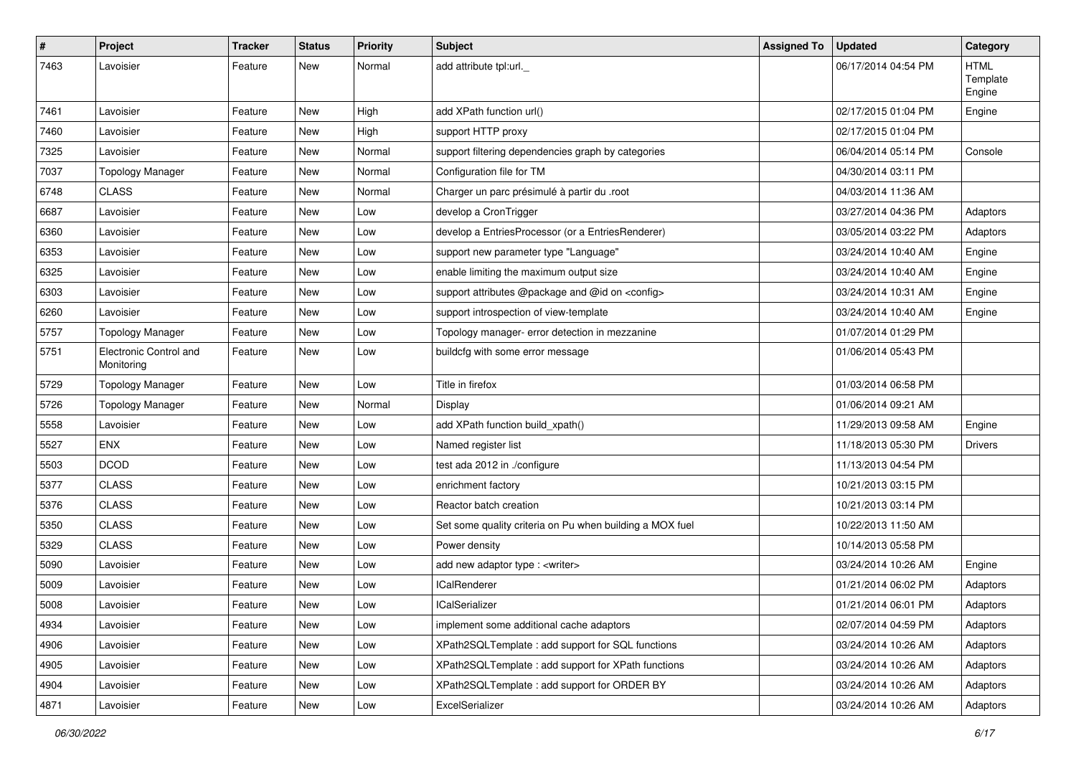| $\pmb{\#}$ | Project                              | <b>Tracker</b> | <b>Status</b> | <b>Priority</b> | <b>Subject</b>                                           | <b>Assigned To</b> | <b>Updated</b>      | Category                          |
|------------|--------------------------------------|----------------|---------------|-----------------|----------------------------------------------------------|--------------------|---------------------|-----------------------------------|
| 7463       | Lavoisier                            | Feature        | New           | Normal          | add attribute tpl:url._                                  |                    | 06/17/2014 04:54 PM | <b>HTML</b><br>Template<br>Engine |
| 7461       | Lavoisier                            | Feature        | New           | High            | add XPath function url()                                 |                    | 02/17/2015 01:04 PM | Engine                            |
| 7460       | Lavoisier                            | Feature        | New           | High            | support HTTP proxy                                       |                    | 02/17/2015 01:04 PM |                                   |
| 7325       | Lavoisier                            | Feature        | New           | Normal          | support filtering dependencies graph by categories       |                    | 06/04/2014 05:14 PM | Console                           |
| 7037       | <b>Topology Manager</b>              | Feature        | <b>New</b>    | Normal          | Configuration file for TM                                |                    | 04/30/2014 03:11 PM |                                   |
| 6748       | <b>CLASS</b>                         | Feature        | New           | Normal          | Charger un parc présimulé à partir du .root              |                    | 04/03/2014 11:36 AM |                                   |
| 6687       | Lavoisier                            | Feature        | New           | Low             | develop a CronTrigger                                    |                    | 03/27/2014 04:36 PM | Adaptors                          |
| 6360       | Lavoisier                            | Feature        | New           | Low             | develop a EntriesProcessor (or a EntriesRenderer)        |                    | 03/05/2014 03:22 PM | Adaptors                          |
| 6353       | Lavoisier                            | Feature        | New           | Low             | support new parameter type "Language"                    |                    | 03/24/2014 10:40 AM | Engine                            |
| 6325       | Lavoisier                            | Feature        | New           | Low             | enable limiting the maximum output size                  |                    | 03/24/2014 10:40 AM | Engine                            |
| 6303       | Lavoisier                            | Feature        | New           | Low             | support attributes @package and @id on <config></config> |                    | 03/24/2014 10:31 AM | Engine                            |
| 6260       | Lavoisier                            | Feature        | New           | Low             | support introspection of view-template                   |                    | 03/24/2014 10:40 AM | Engine                            |
| 5757       | <b>Topology Manager</b>              | Feature        | <b>New</b>    | Low             | Topology manager- error detection in mezzanine           |                    | 01/07/2014 01:29 PM |                                   |
| 5751       | Electronic Control and<br>Monitoring | Feature        | New           | Low             | buildcfg with some error message                         |                    | 01/06/2014 05:43 PM |                                   |
| 5729       | <b>Topology Manager</b>              | Feature        | New           | Low             | Title in firefox                                         |                    | 01/03/2014 06:58 PM |                                   |
| 5726       | <b>Topology Manager</b>              | Feature        | New           | Normal          | Display                                                  |                    | 01/06/2014 09:21 AM |                                   |
| 5558       | Lavoisier                            | Feature        | <b>New</b>    | Low             | add XPath function build_xpath()                         |                    | 11/29/2013 09:58 AM | Engine                            |
| 5527       | <b>ENX</b>                           | Feature        | New           | Low             | Named register list                                      |                    | 11/18/2013 05:30 PM | <b>Drivers</b>                    |
| 5503       | <b>DCOD</b>                          | Feature        | New           | Low             | test ada 2012 in ./configure                             |                    | 11/13/2013 04:54 PM |                                   |
| 5377       | <b>CLASS</b>                         | Feature        | New           | Low             | enrichment factory                                       |                    | 10/21/2013 03:15 PM |                                   |
| 5376       | <b>CLASS</b>                         | Feature        | New           | Low             | Reactor batch creation                                   |                    | 10/21/2013 03:14 PM |                                   |
| 5350       | <b>CLASS</b>                         | Feature        | New           | Low             | Set some quality criteria on Pu when building a MOX fuel |                    | 10/22/2013 11:50 AM |                                   |
| 5329       | <b>CLASS</b>                         | Feature        | New           | Low             | Power density                                            |                    | 10/14/2013 05:58 PM |                                   |
| 5090       | Lavoisier                            | Feature        | New           | Low             | add new adaptor type : <writer></writer>                 |                    | 03/24/2014 10:26 AM | Engine                            |
| 5009       | Lavoisier                            | Feature        | New           | Low             | <b>ICalRenderer</b>                                      |                    | 01/21/2014 06:02 PM | Adaptors                          |
| 5008       | Lavoisier                            | Feature        | New           | Low             | lCalSerializer                                           |                    | 01/21/2014 06:01 PM | Adaptors                          |
| 4934       | Lavoisier                            | Feature        | New           | Low             | implement some additional cache adaptors                 |                    | 02/07/2014 04:59 PM | Adaptors                          |
| 4906       | Lavoisier                            | Feature        | New           | Low             | XPath2SQLTemplate: add support for SQL functions         |                    | 03/24/2014 10:26 AM | Adaptors                          |
| 4905       | Lavoisier                            | Feature        | New           | Low             | XPath2SQLTemplate: add support for XPath functions       |                    | 03/24/2014 10:26 AM | Adaptors                          |
| 4904       | Lavoisier                            | Feature        | New           | Low             | XPath2SQLTemplate : add support for ORDER BY             |                    | 03/24/2014 10:26 AM | Adaptors                          |
| 4871       | Lavoisier                            | Feature        | New           | Low             | ExcelSerializer                                          |                    | 03/24/2014 10:26 AM | Adaptors                          |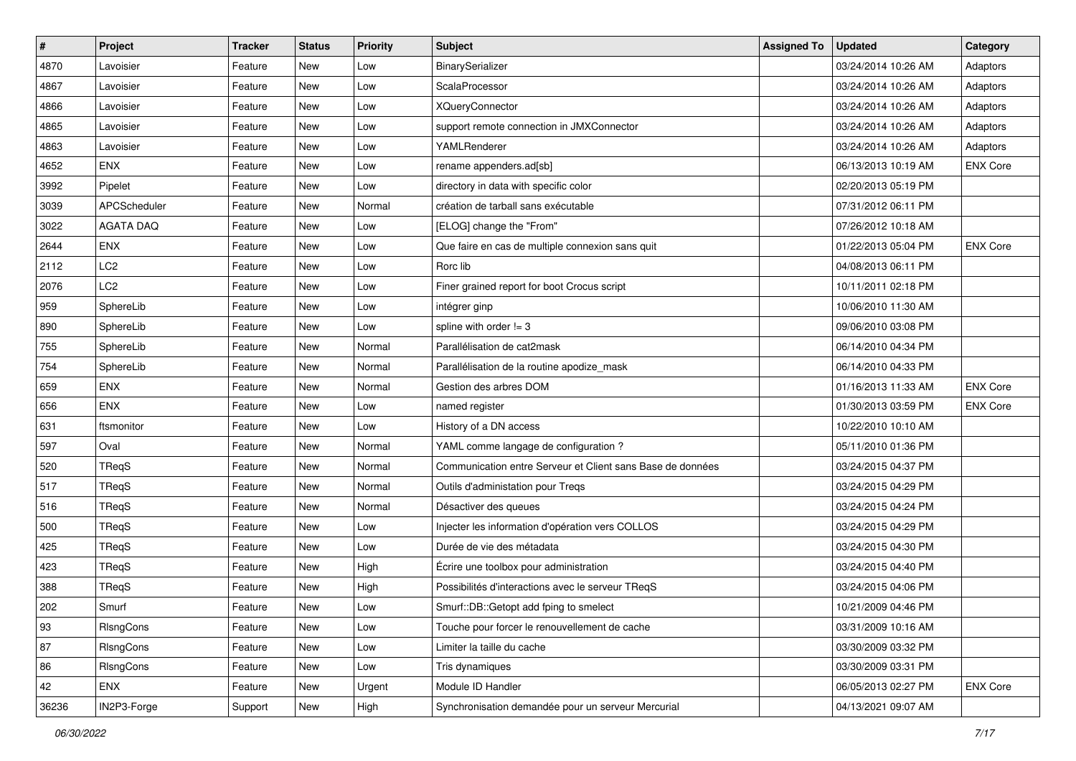| $\vert$ # | Project          | <b>Tracker</b> | <b>Status</b> | <b>Priority</b> | Subject                                                    | <b>Assigned To</b> | <b>Updated</b>      | Category        |
|-----------|------------------|----------------|---------------|-----------------|------------------------------------------------------------|--------------------|---------------------|-----------------|
| 4870      | Lavoisier        | Feature        | New           | Low             | BinarySerializer                                           |                    | 03/24/2014 10:26 AM | Adaptors        |
| 4867      | Lavoisier        | Feature        | New           | Low             | ScalaProcessor                                             |                    | 03/24/2014 10:26 AM | Adaptors        |
| 4866      | Lavoisier        | Feature        | New           | Low             | <b>XQueryConnector</b>                                     |                    | 03/24/2014 10:26 AM | Adaptors        |
| 4865      | Lavoisier        | Feature        | New           | Low             | support remote connection in JMXConnector                  |                    | 03/24/2014 10:26 AM | Adaptors        |
| 4863      | Lavoisier        | Feature        | New           | Low             | YAMLRenderer                                               |                    | 03/24/2014 10:26 AM | Adaptors        |
| 4652      | ENX              | Feature        | New           | Low             | rename appenders.ad[sb]                                    |                    | 06/13/2013 10:19 AM | <b>ENX Core</b> |
| 3992      | Pipelet          | Feature        | New           | Low             | directory in data with specific color                      |                    | 02/20/2013 05:19 PM |                 |
| 3039      | APCScheduler     | Feature        | New           | Normal          | création de tarball sans exécutable                        |                    | 07/31/2012 06:11 PM |                 |
| 3022      | <b>AGATA DAQ</b> | Feature        | <b>New</b>    | Low             | [ELOG] change the "From"                                   |                    | 07/26/2012 10:18 AM |                 |
| 2644      | <b>ENX</b>       | Feature        | <b>New</b>    | Low             | Que faire en cas de multiple connexion sans quit           |                    | 01/22/2013 05:04 PM | <b>ENX Core</b> |
| 2112      | LC <sub>2</sub>  | Feature        | New           | Low             | Rorc lib                                                   |                    | 04/08/2013 06:11 PM |                 |
| 2076      | LC <sub>2</sub>  | Feature        | New           | Low             | Finer grained report for boot Crocus script                |                    | 10/11/2011 02:18 PM |                 |
| 959       | SphereLib        | Feature        | New           | Low             | intégrer ginp                                              |                    | 10/06/2010 11:30 AM |                 |
| 890       | SphereLib        | Feature        | New           | Low             | spline with order $!= 3$                                   |                    | 09/06/2010 03:08 PM |                 |
| 755       | SphereLib        | Feature        | <b>New</b>    | Normal          | Parallélisation de cat2mask                                |                    | 06/14/2010 04:34 PM |                 |
| 754       | SphereLib        | Feature        | New           | Normal          | Parallélisation de la routine apodize_mask                 |                    | 06/14/2010 04:33 PM |                 |
| 659       | <b>ENX</b>       | Feature        | New           | Normal          | Gestion des arbres DOM                                     |                    | 01/16/2013 11:33 AM | <b>ENX Core</b> |
| 656       | <b>ENX</b>       | Feature        | <b>New</b>    | Low             | named register                                             |                    | 01/30/2013 03:59 PM | <b>ENX Core</b> |
| 631       | ftsmonitor       | Feature        | New           | Low             | History of a DN access                                     |                    | 10/22/2010 10:10 AM |                 |
| 597       | Oval             | Feature        | New           | Normal          | YAML comme langage de configuration ?                      |                    | 05/11/2010 01:36 PM |                 |
| 520       | TReqS            | Feature        | New           | Normal          | Communication entre Serveur et Client sans Base de données |                    | 03/24/2015 04:37 PM |                 |
| 517       | TReqS            | Feature        | <b>New</b>    | Normal          | Outils d'administation pour Treqs                          |                    | 03/24/2015 04:29 PM |                 |
| 516       | <b>TReqS</b>     | Feature        | <b>New</b>    | Normal          | Désactiver des queues                                      |                    | 03/24/2015 04:24 PM |                 |
| 500       | TReqS            | Feature        | New           | Low             | Injecter les information d'opération vers COLLOS           |                    | 03/24/2015 04:29 PM |                 |
| 425       | TReqS            | Feature        | New           | Low             | Durée de vie des métadata                                  |                    | 03/24/2015 04:30 PM |                 |
| 423       | TReqS            | Feature        | New           | High            | Écrire une toolbox pour administration                     |                    | 03/24/2015 04:40 PM |                 |
| 388       | TReqS            | Feature        | New           | High            | Possibilités d'interactions avec le serveur TReqS          |                    | 03/24/2015 04:06 PM |                 |
| 202       | Smurf            | Feature        | New           | Low             | Smurf::DB::Getopt add fping to smelect                     |                    | 10/21/2009 04:46 PM |                 |
| 93        | RIsngCons        | Feature        | New           | Low             | Touche pour forcer le renouvellement de cache              |                    | 03/31/2009 10:16 AM |                 |
| 87        | RIsngCons        | Feature        | New           | Low             | Limiter la taille du cache                                 |                    | 03/30/2009 03:32 PM |                 |
| 86        | RIsngCons        | Feature        | New           | Low             | Tris dynamiques                                            |                    | 03/30/2009 03:31 PM |                 |
| 42        | ENX              | Feature        | New           | Urgent          | Module ID Handler                                          |                    | 06/05/2013 02:27 PM | <b>ENX Core</b> |
| 36236     | IN2P3-Forge      | Support        | New           | High            | Synchronisation demandée pour un serveur Mercurial         |                    | 04/13/2021 09:07 AM |                 |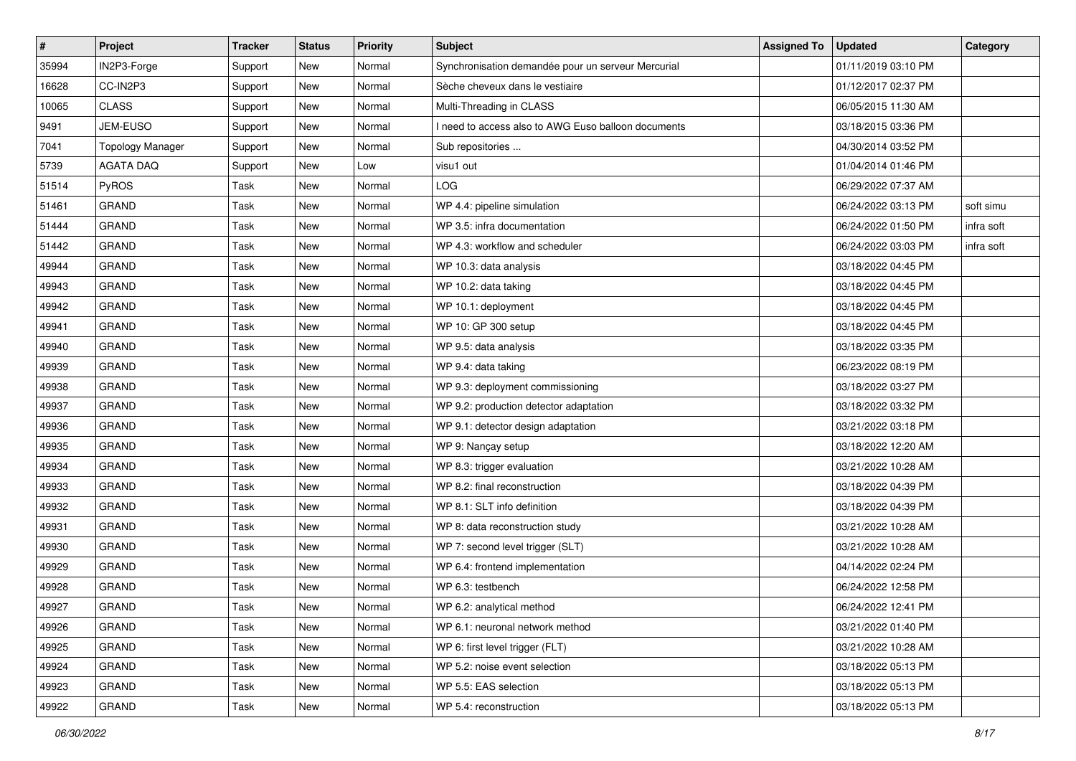| #     | Project                 | <b>Tracker</b> | <b>Status</b> | <b>Priority</b> | Subject                                             | <b>Assigned To</b> | <b>Updated</b>      | Category   |
|-------|-------------------------|----------------|---------------|-----------------|-----------------------------------------------------|--------------------|---------------------|------------|
| 35994 | IN2P3-Forge             | Support        | New           | Normal          | Synchronisation demandée pour un serveur Mercurial  |                    | 01/11/2019 03:10 PM |            |
| 16628 | CC-IN2P3                | Support        | <b>New</b>    | Normal          | Sèche cheveux dans le vestiaire                     |                    | 01/12/2017 02:37 PM |            |
| 10065 | <b>CLASS</b>            | Support        | New           | Normal          | Multi-Threading in CLASS                            |                    | 06/05/2015 11:30 AM |            |
| 9491  | JEM-EUSO                | Support        | New           | Normal          | I need to access also to AWG Euso balloon documents |                    | 03/18/2015 03:36 PM |            |
| 7041  | <b>Topology Manager</b> | Support        | <b>New</b>    | Normal          | Sub repositories                                    |                    | 04/30/2014 03:52 PM |            |
| 5739  | <b>AGATA DAQ</b>        | Support        | New           | Low             | visu1 out                                           |                    | 01/04/2014 01:46 PM |            |
| 51514 | PyROS                   | Task           | <b>New</b>    | Normal          | <b>LOG</b>                                          |                    | 06/29/2022 07:37 AM |            |
| 51461 | <b>GRAND</b>            | Task           | New           | Normal          | WP 4.4: pipeline simulation                         |                    | 06/24/2022 03:13 PM | soft simu  |
| 51444 | <b>GRAND</b>            | Task           | New           | Normal          | WP 3.5: infra documentation                         |                    | 06/24/2022 01:50 PM | infra soft |
| 51442 | <b>GRAND</b>            | Task           | New           | Normal          | WP 4.3: workflow and scheduler                      |                    | 06/24/2022 03:03 PM | infra soft |
| 49944 | <b>GRAND</b>            | Task           | <b>New</b>    | Normal          | WP 10.3: data analysis                              |                    | 03/18/2022 04:45 PM |            |
| 49943 | <b>GRAND</b>            | Task           | <b>New</b>    | Normal          | WP 10.2: data taking                                |                    | 03/18/2022 04:45 PM |            |
| 49942 | <b>GRAND</b>            | Task           | New           | Normal          | WP 10.1: deployment                                 |                    | 03/18/2022 04:45 PM |            |
| 49941 | <b>GRAND</b>            | Task           | New           | Normal          | WP 10: GP 300 setup                                 |                    | 03/18/2022 04:45 PM |            |
| 49940 | <b>GRAND</b>            | Task           | New           | Normal          | WP 9.5: data analysis                               |                    | 03/18/2022 03:35 PM |            |
| 49939 | <b>GRAND</b>            | Task           | New           | Normal          | WP 9.4: data taking                                 |                    | 06/23/2022 08:19 PM |            |
| 49938 | <b>GRAND</b>            | Task           | New           | Normal          | WP 9.3: deployment commissioning                    |                    | 03/18/2022 03:27 PM |            |
| 49937 | <b>GRAND</b>            | Task           | New           | Normal          | WP 9.2: production detector adaptation              |                    | 03/18/2022 03:32 PM |            |
| 49936 | <b>GRAND</b>            | Task           | New           | Normal          | WP 9.1: detector design adaptation                  |                    | 03/21/2022 03:18 PM |            |
| 49935 | <b>GRAND</b>            | Task           | <b>New</b>    | Normal          | WP 9: Nançay setup                                  |                    | 03/18/2022 12:20 AM |            |
| 49934 | <b>GRAND</b>            | Task           | New           | Normal          | WP 8.3: trigger evaluation                          |                    | 03/21/2022 10:28 AM |            |
| 49933 | <b>GRAND</b>            | Task           | New           | Normal          | WP 8.2: final reconstruction                        |                    | 03/18/2022 04:39 PM |            |
| 49932 | <b>GRAND</b>            | Task           | <b>New</b>    | Normal          | WP 8.1: SLT info definition                         |                    | 03/18/2022 04:39 PM |            |
| 49931 | <b>GRAND</b>            | Task           | New           | Normal          | WP 8: data reconstruction study                     |                    | 03/21/2022 10:28 AM |            |
| 49930 | <b>GRAND</b>            | Task           | <b>New</b>    | Normal          | WP 7: second level trigger (SLT)                    |                    | 03/21/2022 10:28 AM |            |
| 49929 | <b>GRAND</b>            | Task           | New           | Normal          | WP 6.4: frontend implementation                     |                    | 04/14/2022 02:24 PM |            |
| 49928 | <b>GRAND</b>            | Task           | New           | Normal          | WP 6.3: testbench                                   |                    | 06/24/2022 12:58 PM |            |
| 49927 | <b>GRAND</b>            | Task           | New           | Normal          | WP 6.2: analytical method                           |                    | 06/24/2022 12:41 PM |            |
| 49926 | GRAND                   | Task           | New           | Normal          | WP 6.1: neuronal network method                     |                    | 03/21/2022 01:40 PM |            |
| 49925 | <b>GRAND</b>            | Task           | New           | Normal          | WP 6: first level trigger (FLT)                     |                    | 03/21/2022 10:28 AM |            |
| 49924 | <b>GRAND</b>            | Task           | New           | Normal          | WP 5.2: noise event selection                       |                    | 03/18/2022 05:13 PM |            |
| 49923 | GRAND                   | Task           | New           | Normal          | WP 5.5: EAS selection                               |                    | 03/18/2022 05:13 PM |            |
| 49922 | GRAND                   | Task           | New           | Normal          | WP 5.4: reconstruction                              |                    | 03/18/2022 05:13 PM |            |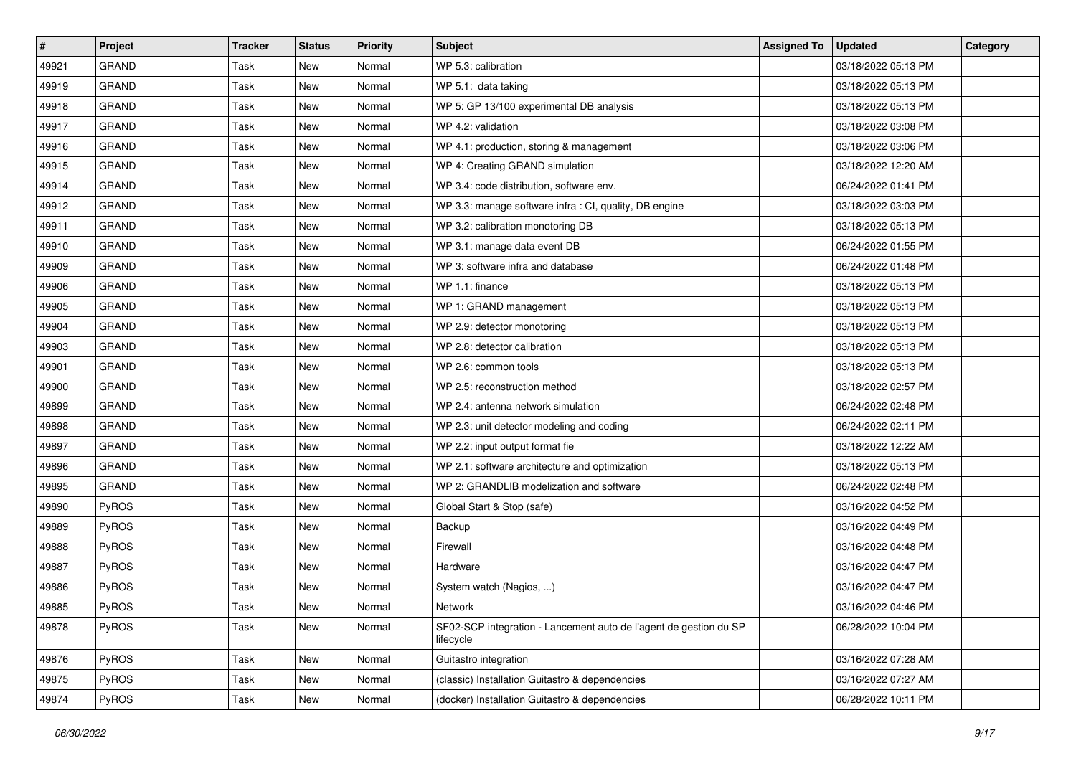| $\vert$ # | Project      | <b>Tracker</b> | <b>Status</b> | <b>Priority</b> | Subject                                                                        | <b>Assigned To</b> | <b>Updated</b>      | Category |
|-----------|--------------|----------------|---------------|-----------------|--------------------------------------------------------------------------------|--------------------|---------------------|----------|
| 49921     | <b>GRAND</b> | Task           | New           | Normal          | WP 5.3: calibration                                                            |                    | 03/18/2022 05:13 PM |          |
| 49919     | GRAND        | Task           | New           | Normal          | WP 5.1: data taking                                                            |                    | 03/18/2022 05:13 PM |          |
| 49918     | GRAND        | Task           | New           | Normal          | WP 5: GP 13/100 experimental DB analysis                                       |                    | 03/18/2022 05:13 PM |          |
| 49917     | <b>GRAND</b> | Task           | New           | Normal          | WP 4.2: validation                                                             |                    | 03/18/2022 03:08 PM |          |
| 49916     | <b>GRAND</b> | Task           | <b>New</b>    | Normal          | WP 4.1: production, storing & management                                       |                    | 03/18/2022 03:06 PM |          |
| 49915     | GRAND        | Task           | New           | Normal          | WP 4: Creating GRAND simulation                                                |                    | 03/18/2022 12:20 AM |          |
| 49914     | GRAND        | Task           | New           | Normal          | WP 3.4: code distribution, software env.                                       |                    | 06/24/2022 01:41 PM |          |
| 49912     | <b>GRAND</b> | Task           | New           | Normal          | WP 3.3: manage software infra : CI, quality, DB engine                         |                    | 03/18/2022 03:03 PM |          |
| 49911     | GRAND        | Task           | New           | Normal          | WP 3.2: calibration monotoring DB                                              |                    | 03/18/2022 05:13 PM |          |
| 49910     | <b>GRAND</b> | Task           | New           | Normal          | WP 3.1: manage data event DB                                                   |                    | 06/24/2022 01:55 PM |          |
| 49909     | GRAND        | Task           | New           | Normal          | WP 3: software infra and database                                              |                    | 06/24/2022 01:48 PM |          |
| 49906     | <b>GRAND</b> | Task           | New           | Normal          | WP 1.1: finance                                                                |                    | 03/18/2022 05:13 PM |          |
| 49905     | <b>GRAND</b> | Task           | New           | Normal          | WP 1: GRAND management                                                         |                    | 03/18/2022 05:13 PM |          |
| 49904     | <b>GRAND</b> | Task           | New           | Normal          | WP 2.9: detector monotoring                                                    |                    | 03/18/2022 05:13 PM |          |
| 49903     | GRAND        | Task           | New           | Normal          | WP 2.8: detector calibration                                                   |                    | 03/18/2022 05:13 PM |          |
| 49901     | <b>GRAND</b> | Task           | New           | Normal          | WP 2.6: common tools                                                           |                    | 03/18/2022 05:13 PM |          |
| 49900     | <b>GRAND</b> | Task           | New           | Normal          | WP 2.5: reconstruction method                                                  |                    | 03/18/2022 02:57 PM |          |
| 49899     | <b>GRAND</b> | Task           | New           | Normal          | WP 2.4: antenna network simulation                                             |                    | 06/24/2022 02:48 PM |          |
| 49898     | <b>GRAND</b> | Task           | New           | Normal          | WP 2.3: unit detector modeling and coding                                      |                    | 06/24/2022 02:11 PM |          |
| 49897     | GRAND        | Task           | New           | Normal          | WP 2.2: input output format fie                                                |                    | 03/18/2022 12:22 AM |          |
| 49896     | <b>GRAND</b> | Task           | New           | Normal          | WP 2.1: software architecture and optimization                                 |                    | 03/18/2022 05:13 PM |          |
| 49895     | <b>GRAND</b> | Task           | New           | Normal          | WP 2: GRANDLIB modelization and software                                       |                    | 06/24/2022 02:48 PM |          |
| 49890     | PyROS        | Task           | New           | Normal          | Global Start & Stop (safe)                                                     |                    | 03/16/2022 04:52 PM |          |
| 49889     | PyROS        | Task           | New           | Normal          | Backup                                                                         |                    | 03/16/2022 04:49 PM |          |
| 49888     | PyROS        | Task           | <b>New</b>    | Normal          | Firewall                                                                       |                    | 03/16/2022 04:48 PM |          |
| 49887     | PyROS        | Task           | New           | Normal          | Hardware                                                                       |                    | 03/16/2022 04:47 PM |          |
| 49886     | PyROS        | Task           | New           | Normal          | System watch (Nagios, )                                                        |                    | 03/16/2022 04:47 PM |          |
| 49885     | PyROS        | Task           | New           | Normal          | Network                                                                        |                    | 03/16/2022 04:46 PM |          |
| 49878     | PyROS        | Task           | New           | Normal          | SF02-SCP integration - Lancement auto de l'agent de gestion du SP<br>lifecycle |                    | 06/28/2022 10:04 PM |          |
| 49876     | PyROS        | Task           | New           | Normal          | Guitastro integration                                                          |                    | 03/16/2022 07:28 AM |          |
| 49875     | PyROS        | Task           | New           | Normal          | (classic) Installation Guitastro & dependencies                                |                    | 03/16/2022 07:27 AM |          |
| 49874     | PyROS        | Task           | New           | Normal          | (docker) Installation Guitastro & dependencies                                 |                    | 06/28/2022 10:11 PM |          |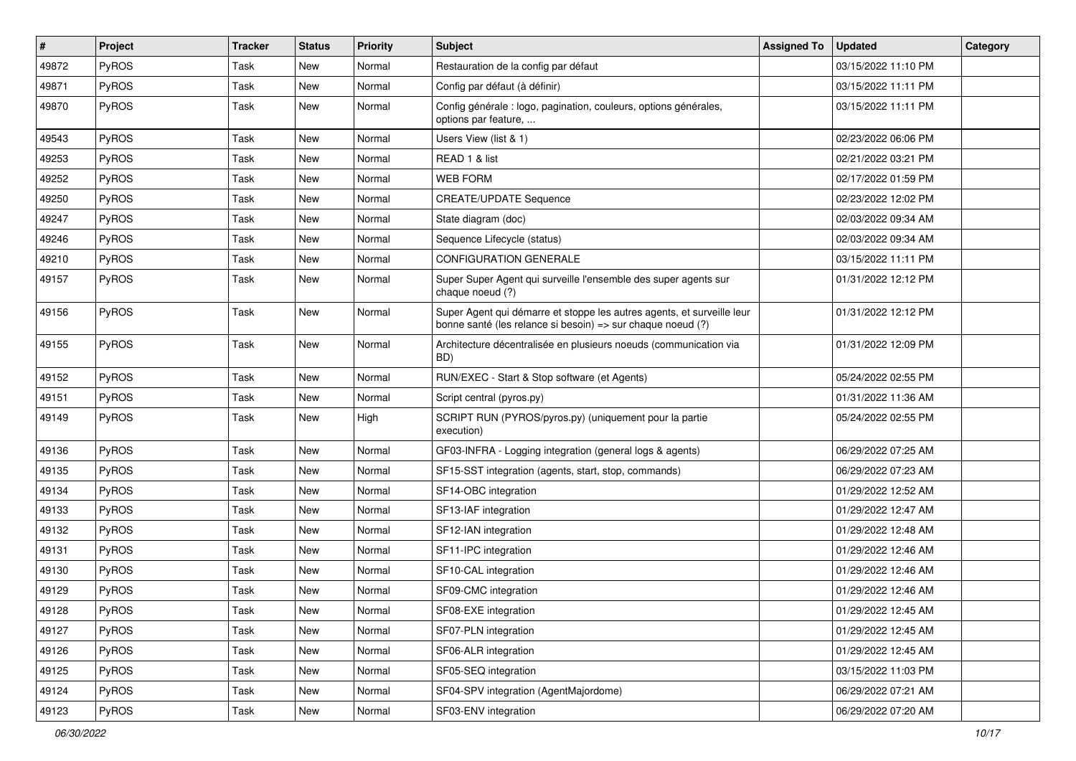| $\sharp$ | Project      | <b>Tracker</b> | <b>Status</b> | <b>Priority</b> | Subject                                                                                                                               | <b>Assigned To</b> | <b>Updated</b>      | Category |
|----------|--------------|----------------|---------------|-----------------|---------------------------------------------------------------------------------------------------------------------------------------|--------------------|---------------------|----------|
| 49872    | PyROS        | Task           | New           | Normal          | Restauration de la config par défaut                                                                                                  |                    | 03/15/2022 11:10 PM |          |
| 49871    | <b>PyROS</b> | Task           | New           | Normal          | Config par défaut (à définir)                                                                                                         |                    | 03/15/2022 11:11 PM |          |
| 49870    | PyROS        | Task           | <b>New</b>    | Normal          | Config générale : logo, pagination, couleurs, options générales,<br>options par feature,                                              |                    | 03/15/2022 11:11 PM |          |
| 49543    | PyROS        | Task           | <b>New</b>    | Normal          | Users View (list & 1)                                                                                                                 |                    | 02/23/2022 06:06 PM |          |
| 49253    | PyROS        | Task           | New           | Normal          | READ 1 & list                                                                                                                         |                    | 02/21/2022 03:21 PM |          |
| 49252    | PyROS        | Task           | <b>New</b>    | Normal          | <b>WEB FORM</b>                                                                                                                       |                    | 02/17/2022 01:59 PM |          |
| 49250    | PyROS        | Task           | New           | Normal          | <b>CREATE/UPDATE Sequence</b>                                                                                                         |                    | 02/23/2022 12:02 PM |          |
| 49247    | PyROS        | Task           | <b>New</b>    | Normal          | State diagram (doc)                                                                                                                   |                    | 02/03/2022 09:34 AM |          |
| 49246    | PyROS        | Task           | New           | Normal          | Sequence Lifecycle (status)                                                                                                           |                    | 02/03/2022 09:34 AM |          |
| 49210    | <b>PyROS</b> | Task           | New           | Normal          | <b>CONFIGURATION GENERALE</b>                                                                                                         |                    | 03/15/2022 11:11 PM |          |
| 49157    | PyROS        | Task           | New           | Normal          | Super Super Agent qui surveille l'ensemble des super agents sur<br>chaque noeud (?)                                                   |                    | 01/31/2022 12:12 PM |          |
| 49156    | PyROS        | Task           | New           | Normal          | Super Agent qui démarre et stoppe les autres agents, et surveille leur<br>bonne santé (les relance si besoin) => sur chaque noeud (?) |                    | 01/31/2022 12:12 PM |          |
| 49155    | PyROS        | Task           | New           | Normal          | Architecture décentralisée en plusieurs noeuds (communication via<br>BD)                                                              |                    | 01/31/2022 12:09 PM |          |
| 49152    | <b>PyROS</b> | Task           | New           | Normal          | RUN/EXEC - Start & Stop software (et Agents)                                                                                          |                    | 05/24/2022 02:55 PM |          |
| 49151    | <b>PyROS</b> | Task           | New           | Normal          | Script central (pyros.py)                                                                                                             |                    | 01/31/2022 11:36 AM |          |
| 49149    | PyROS        | Task           | New           | High            | SCRIPT RUN (PYROS/pyros.py) (uniquement pour la partie<br>execution)                                                                  |                    | 05/24/2022 02:55 PM |          |
| 49136    | PyROS        | Task           | New           | Normal          | GF03-INFRA - Logging integration (general logs & agents)                                                                              |                    | 06/29/2022 07:25 AM |          |
| 49135    | PyROS        | Task           | <b>New</b>    | Normal          | SF15-SST integration (agents, start, stop, commands)                                                                                  |                    | 06/29/2022 07:23 AM |          |
| 49134    | PyROS        | Task           | New           | Normal          | SF14-OBC integration                                                                                                                  |                    | 01/29/2022 12:52 AM |          |
| 49133    | PyROS        | Task           | <b>New</b>    | Normal          | SF13-IAF integration                                                                                                                  |                    | 01/29/2022 12:47 AM |          |
| 49132    | PyROS        | Task           | New           | Normal          | SF12-IAN integration                                                                                                                  |                    | 01/29/2022 12:48 AM |          |
| 49131    | <b>PyROS</b> | Task           | New           | Normal          | SF11-IPC integration                                                                                                                  |                    | 01/29/2022 12:46 AM |          |
| 49130    | PyROS        | Task           | New           | Normal          | SF10-CAL integration                                                                                                                  |                    | 01/29/2022 12:46 AM |          |
| 49129    | PyROS        | Task           | <b>New</b>    | Normal          | SF09-CMC integration                                                                                                                  |                    | 01/29/2022 12:46 AM |          |
| 49128    | PyROS        | Task           | New           | Normal          | SF08-EXE integration                                                                                                                  |                    | 01/29/2022 12:45 AM |          |
| 49127    | PyROS        | Task           | New           | Normal          | SF07-PLN integration                                                                                                                  |                    | 01/29/2022 12:45 AM |          |
| 49126    | PyROS        | Task           | New           | Normal          | SF06-ALR integration                                                                                                                  |                    | 01/29/2022 12:45 AM |          |
| 49125    | PyROS        | Task           | New           | Normal          | SF05-SEQ integration                                                                                                                  |                    | 03/15/2022 11:03 PM |          |
| 49124    | PyROS        | Task           | New           | Normal          | SF04-SPV integration (AgentMajordome)                                                                                                 |                    | 06/29/2022 07:21 AM |          |
| 49123    | PyROS        | Task           | New           | Normal          | SF03-ENV integration                                                                                                                  |                    | 06/29/2022 07:20 AM |          |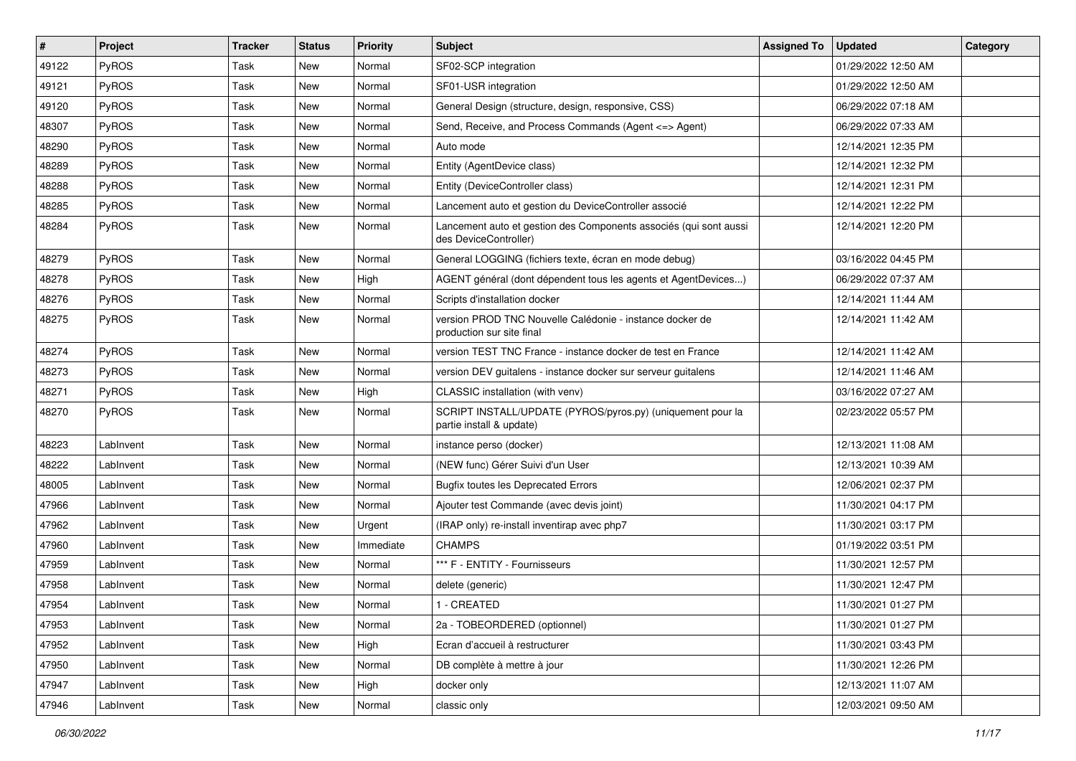| $\vert$ # | Project      | <b>Tracker</b> | <b>Status</b> | <b>Priority</b> | Subject                                                                                    | <b>Assigned To</b> | <b>Updated</b>      | Category |
|-----------|--------------|----------------|---------------|-----------------|--------------------------------------------------------------------------------------------|--------------------|---------------------|----------|
| 49122     | PyROS        | Task           | New           | Normal          | SF02-SCP integration                                                                       |                    | 01/29/2022 12:50 AM |          |
| 49121     | PyROS        | Task           | New           | Normal          | SF01-USR integration                                                                       |                    | 01/29/2022 12:50 AM |          |
| 49120     | <b>PyROS</b> | Task           | New           | Normal          | General Design (structure, design, responsive, CSS)                                        |                    | 06/29/2022 07:18 AM |          |
| 48307     | PyROS        | Task           | New           | Normal          | Send, Receive, and Process Commands (Agent <= > Agent)                                     |                    | 06/29/2022 07:33 AM |          |
| 48290     | PyROS        | Task           | New           | Normal          | Auto mode                                                                                  |                    | 12/14/2021 12:35 PM |          |
| 48289     | PyROS        | Task           | New           | Normal          | Entity (AgentDevice class)                                                                 |                    | 12/14/2021 12:32 PM |          |
| 48288     | PyROS        | Task           | <b>New</b>    | Normal          | Entity (DeviceController class)                                                            |                    | 12/14/2021 12:31 PM |          |
| 48285     | PyROS        | Task           | New           | Normal          | Lancement auto et gestion du DeviceController associé                                      |                    | 12/14/2021 12:22 PM |          |
| 48284     | PyROS        | Task           | New           | Normal          | Lancement auto et gestion des Components associés (qui sont aussi<br>des DeviceController) |                    | 12/14/2021 12:20 PM |          |
| 48279     | PyROS        | Task           | New           | Normal          | General LOGGING (fichiers texte, écran en mode debug)                                      |                    | 03/16/2022 04:45 PM |          |
| 48278     | PyROS        | Task           | New           | High            | AGENT général (dont dépendent tous les agents et AgentDevices)                             |                    | 06/29/2022 07:37 AM |          |
| 48276     | PyROS        | Task           | New           | Normal          | Scripts d'installation docker                                                              |                    | 12/14/2021 11:44 AM |          |
| 48275     | PyROS        | Task           | New           | Normal          | version PROD TNC Nouvelle Calédonie - instance docker de<br>production sur site final      |                    | 12/14/2021 11:42 AM |          |
| 48274     | PyROS        | Task           | New           | Normal          | version TEST TNC France - instance docker de test en France                                |                    | 12/14/2021 11:42 AM |          |
| 48273     | PyROS        | Task           | New           | Normal          | version DEV guitalens - instance docker sur serveur guitalens                              |                    | 12/14/2021 11:46 AM |          |
| 48271     | PyROS        | Task           | New           | High            | CLASSIC installation (with venv)                                                           |                    | 03/16/2022 07:27 AM |          |
| 48270     | <b>PyROS</b> | Task           | New           | Normal          | SCRIPT INSTALL/UPDATE (PYROS/pyros.py) (uniquement pour la<br>partie install & update)     |                    | 02/23/2022 05:57 PM |          |
| 48223     | LabInvent    | Task           | New           | Normal          | instance perso (docker)                                                                    |                    | 12/13/2021 11:08 AM |          |
| 48222     | LabInvent    | Task           | New           | Normal          | (NEW func) Gérer Suivi d'un User                                                           |                    | 12/13/2021 10:39 AM |          |
| 48005     | LabInvent    | Task           | New           | Normal          | <b>Bugfix toutes les Deprecated Errors</b>                                                 |                    | 12/06/2021 02:37 PM |          |
| 47966     | LabInvent    | Task           | New           | Normal          | Ajouter test Commande (avec devis joint)                                                   |                    | 11/30/2021 04:17 PM |          |
| 47962     | LabInvent    | Task           | New           | Urgent          | (IRAP only) re-install inventirap avec php7                                                |                    | 11/30/2021 03:17 PM |          |
| 47960     | LabInvent    | Task           | New           | Immediate       | <b>CHAMPS</b>                                                                              |                    | 01/19/2022 03:51 PM |          |
| 47959     | LabInvent    | Task           | New           | Normal          | *** F - ENTITY - Fournisseurs                                                              |                    | 11/30/2021 12:57 PM |          |
| 47958     | LabInvent    | Task           | New           | Normal          | delete (generic)                                                                           |                    | 11/30/2021 12:47 PM |          |
| 47954     | LabInvent    | Task           | New           | Normal          | 1 - CREATED                                                                                |                    | 11/30/2021 01:27 PM |          |
| 47953     | LabInvent    | Task           | New           | Normal          | 2a - TOBEORDERED (optionnel)                                                               |                    | 11/30/2021 01:27 PM |          |
| 47952     | LabInvent    | Task           | New           | High            | Ecran d'accueil à restructurer                                                             |                    | 11/30/2021 03:43 PM |          |
| 47950     | LabInvent    | Task           | New           | Normal          | DB complète à mettre à jour                                                                |                    | 11/30/2021 12:26 PM |          |
| 47947     | LabInvent    | Task           | New           | High            | docker only                                                                                |                    | 12/13/2021 11:07 AM |          |
| 47946     | LabInvent    | Task           | New           | Normal          | classic only                                                                               |                    | 12/03/2021 09:50 AM |          |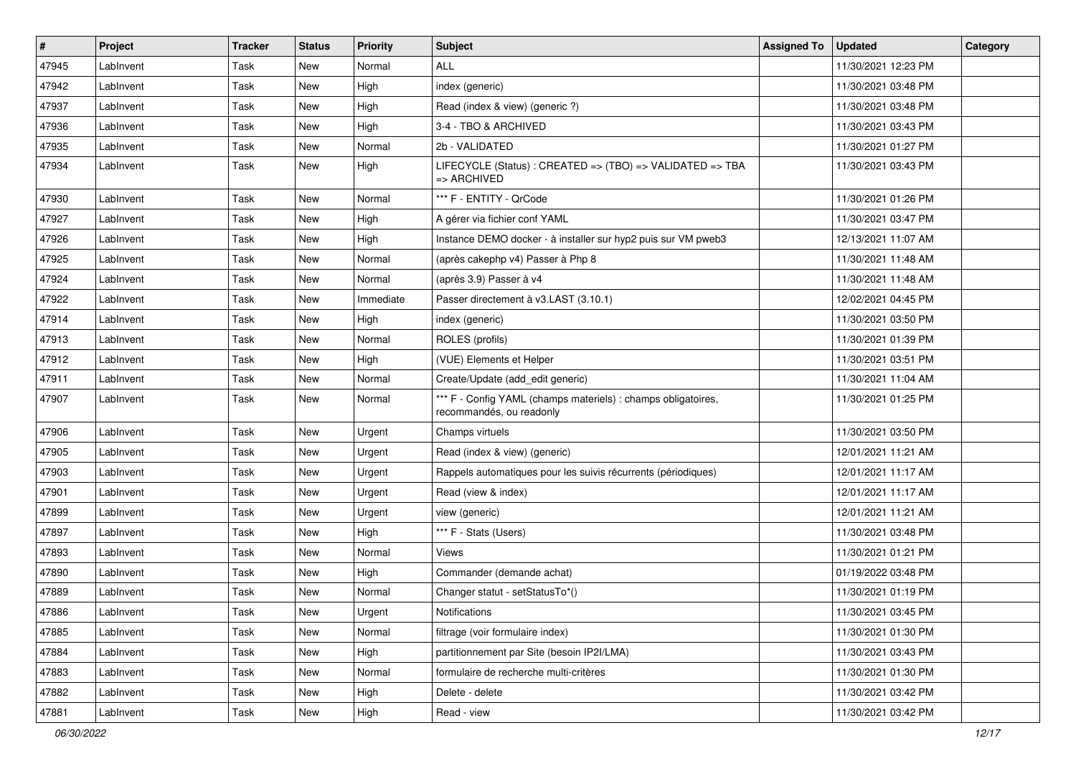| $\vert$ # | Project   | <b>Tracker</b> | <b>Status</b> | <b>Priority</b> | Subject                                                                                   | <b>Assigned To</b> | <b>Updated</b>      | Category |
|-----------|-----------|----------------|---------------|-----------------|-------------------------------------------------------------------------------------------|--------------------|---------------------|----------|
| 47945     | LabInvent | Task           | <b>New</b>    | Normal          | <b>ALL</b>                                                                                |                    | 11/30/2021 12:23 PM |          |
| 47942     | LabInvent | Task           | New           | High            | index (generic)                                                                           |                    | 11/30/2021 03:48 PM |          |
| 47937     | LabInvent | Task           | New           | High            | Read (index & view) (generic ?)                                                           |                    | 11/30/2021 03:48 PM |          |
| 47936     | LabInvent | Task           | New           | High            | 3-4 - TBO & ARCHIVED                                                                      |                    | 11/30/2021 03:43 PM |          |
| 47935     | LabInvent | Task           | New           | Normal          | 2b - VALIDATED                                                                            |                    | 11/30/2021 01:27 PM |          |
| 47934     | LabInvent | Task           | New           | High            | LIFECYCLE (Status) : CREATED => (TBO) => VALIDATED => TBA<br>$\Rightarrow$ ARCHIVED       |                    | 11/30/2021 03:43 PM |          |
| 47930     | LabInvent | Task           | New           | Normal          | *** F - ENTITY - QrCode                                                                   |                    | 11/30/2021 01:26 PM |          |
| 47927     | LabInvent | Task           | New           | High            | A gérer via fichier conf YAML                                                             |                    | 11/30/2021 03:47 PM |          |
| 47926     | LabInvent | Task           | New           | High            | Instance DEMO docker - à installer sur hyp2 puis sur VM pweb3                             |                    | 12/13/2021 11:07 AM |          |
| 47925     | LabInvent | Task           | New           | Normal          | (après cakephp v4) Passer à Php 8                                                         |                    | 11/30/2021 11:48 AM |          |
| 47924     | LabInvent | Task           | New           | Normal          | (après 3.9) Passer à v4                                                                   |                    | 11/30/2021 11:48 AM |          |
| 47922     | LabInvent | Task           | New           | Immediate       | Passer directement à v3.LAST (3.10.1)                                                     |                    | 12/02/2021 04:45 PM |          |
| 47914     | LabInvent | Task           | New           | High            | index (generic)                                                                           |                    | 11/30/2021 03:50 PM |          |
| 47913     | LabInvent | Task           | New           | Normal          | ROLES (profils)                                                                           |                    | 11/30/2021 01:39 PM |          |
| 47912     | LabInvent | Task           | New           | High            | (VUE) Elements et Helper                                                                  |                    | 11/30/2021 03:51 PM |          |
| 47911     | LabInvent | Task           | New           | Normal          | Create/Update (add_edit generic)                                                          |                    | 11/30/2021 11:04 AM |          |
| 47907     | LabInvent | Task           | New           | Normal          | *** F - Config YAML (champs materiels) : champs obligatoires,<br>recommandés, ou readonly |                    | 11/30/2021 01:25 PM |          |
| 47906     | LabInvent | Task           | <b>New</b>    | Urgent          | Champs virtuels                                                                           |                    | 11/30/2021 03:50 PM |          |
| 47905     | LabInvent | Task           | New           | Urgent          | Read (index & view) (generic)                                                             |                    | 12/01/2021 11:21 AM |          |
| 47903     | LabInvent | Task           | <b>New</b>    | Urgent          | Rappels automatiques pour les suivis récurrents (périodiques)                             |                    | 12/01/2021 11:17 AM |          |
| 47901     | LabInvent | Task           | New           | Urgent          | Read (view & index)                                                                       |                    | 12/01/2021 11:17 AM |          |
| 47899     | LabInvent | Task           | New           | Urgent          | view (generic)                                                                            |                    | 12/01/2021 11:21 AM |          |
| 47897     | LabInvent | Task           | New           | High            | *** F - Stats (Users)                                                                     |                    | 11/30/2021 03:48 PM |          |
| 47893     | LabInvent | Task           | New           | Normal          | <b>Views</b>                                                                              |                    | 11/30/2021 01:21 PM |          |
| 47890     | LabInvent | Task           | New           | High            | Commander (demande achat)                                                                 |                    | 01/19/2022 03:48 PM |          |
| 47889     | LabInvent | Task           | New           | Normal          | Changer statut - setStatusTo*()                                                           |                    | 11/30/2021 01:19 PM |          |
| 47886     | LabInvent | Task           | New           | Urgent          | Notifications                                                                             |                    | 11/30/2021 03:45 PM |          |
| 47885     | LabInvent | Task           | New           | Normal          | filtrage (voir formulaire index)                                                          |                    | 11/30/2021 01:30 PM |          |
| 47884     | LabInvent | Task           | New           | High            | partitionnement par Site (besoin IP2I/LMA)                                                |                    | 11/30/2021 03:43 PM |          |
| 47883     | LabInvent | Task           | New           | Normal          | formulaire de recherche multi-critères                                                    |                    | 11/30/2021 01:30 PM |          |
| 47882     | LabInvent | Task           | New           | High            | Delete - delete                                                                           |                    | 11/30/2021 03:42 PM |          |
| 47881     | LabInvent | Task           | New           | High            | Read - view                                                                               |                    | 11/30/2021 03:42 PM |          |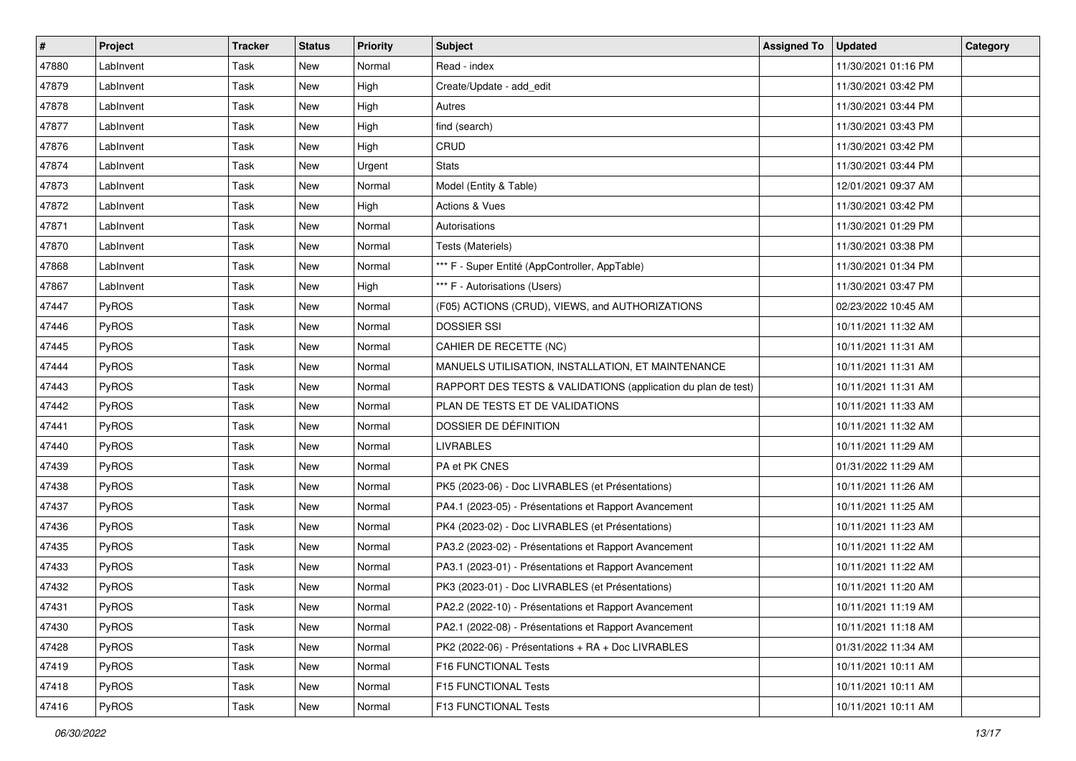| $\sharp$ | Project      | <b>Tracker</b> | <b>Status</b> | Priority | Subject                                                       | <b>Assigned To</b> | <b>Updated</b>      | Category |
|----------|--------------|----------------|---------------|----------|---------------------------------------------------------------|--------------------|---------------------|----------|
| 47880    | LabInvent    | Task           | New           | Normal   | Read - index                                                  |                    | 11/30/2021 01:16 PM |          |
| 47879    | LabInvent    | Task           | New           | High     | Create/Update - add_edit                                      |                    | 11/30/2021 03:42 PM |          |
| 47878    | LabInvent    | Task           | New           | High     | Autres                                                        |                    | 11/30/2021 03:44 PM |          |
| 47877    | LabInvent    | Task           | New           | High     | find (search)                                                 |                    | 11/30/2021 03:43 PM |          |
| 47876    | LabInvent    | Task           | New           | High     | CRUD                                                          |                    | 11/30/2021 03:42 PM |          |
| 47874    | LabInvent    | Task           | New           | Urgent   | <b>Stats</b>                                                  |                    | 11/30/2021 03:44 PM |          |
| 47873    | LabInvent    | Task           | New           | Normal   | Model (Entity & Table)                                        |                    | 12/01/2021 09:37 AM |          |
| 47872    | LabInvent    | Task           | New           | High     | Actions & Vues                                                |                    | 11/30/2021 03:42 PM |          |
| 47871    | LabInvent    | Task           | New           | Normal   | Autorisations                                                 |                    | 11/30/2021 01:29 PM |          |
| 47870    | LabInvent    | Task           | New           | Normal   | Tests (Materiels)                                             |                    | 11/30/2021 03:38 PM |          |
| 47868    | LabInvent    | Task           | New           | Normal   | *** F - Super Entité (AppController, AppTable)                |                    | 11/30/2021 01:34 PM |          |
| 47867    | LabInvent    | Task           | New           | High     | *** F - Autorisations (Users)                                 |                    | 11/30/2021 03:47 PM |          |
| 47447    | PyROS        | Task           | New           | Normal   | (F05) ACTIONS (CRUD), VIEWS, and AUTHORIZATIONS               |                    | 02/23/2022 10:45 AM |          |
| 47446    | PyROS        | Task           | New           | Normal   | <b>DOSSIER SSI</b>                                            |                    | 10/11/2021 11:32 AM |          |
| 47445    | PyROS        | Task           | New           | Normal   | CAHIER DE RECETTE (NC)                                        |                    | 10/11/2021 11:31 AM |          |
| 47444    | PyROS        | Task           | New           | Normal   | MANUELS UTILISATION, INSTALLATION, ET MAINTENANCE             |                    | 10/11/2021 11:31 AM |          |
| 47443    | PyROS        | Task           | New           | Normal   | RAPPORT DES TESTS & VALIDATIONS (application du plan de test) |                    | 10/11/2021 11:31 AM |          |
| 47442    | PyROS        | Task           | New           | Normal   | PLAN DE TESTS ET DE VALIDATIONS                               |                    | 10/11/2021 11:33 AM |          |
| 47441    | PyROS        | Task           | New           | Normal   | DOSSIER DE DÉFINITION                                         |                    | 10/11/2021 11:32 AM |          |
| 47440    | PyROS        | Task           | New           | Normal   | <b>LIVRABLES</b>                                              |                    | 10/11/2021 11:29 AM |          |
| 47439    | PyROS        | Task           | New           | Normal   | PA et PK CNES                                                 |                    | 01/31/2022 11:29 AM |          |
| 47438    | PyROS        | Task           | New           | Normal   | PK5 (2023-06) - Doc LIVRABLES (et Présentations)              |                    | 10/11/2021 11:26 AM |          |
| 47437    | PyROS        | Task           | New           | Normal   | PA4.1 (2023-05) - Présentations et Rapport Avancement         |                    | 10/11/2021 11:25 AM |          |
| 47436    | PyROS        | Task           | New           | Normal   | PK4 (2023-02) - Doc LIVRABLES (et Présentations)              |                    | 10/11/2021 11:23 AM |          |
| 47435    | PyROS        | Task           | New           | Normal   | PA3.2 (2023-02) - Présentations et Rapport Avancement         |                    | 10/11/2021 11:22 AM |          |
| 47433    | PyROS        | Task           | New           | Normal   | PA3.1 (2023-01) - Présentations et Rapport Avancement         |                    | 10/11/2021 11:22 AM |          |
| 47432    | PyROS        | Task           | New           | Normal   | PK3 (2023-01) - Doc LIVRABLES (et Présentations)              |                    | 10/11/2021 11:20 AM |          |
| 47431    | PyROS        | Task           | New           | Normal   | PA2.2 (2022-10) - Présentations et Rapport Avancement         |                    | 10/11/2021 11:19 AM |          |
| 47430    | <b>PyROS</b> | Task           | New           | Normal   | PA2.1 (2022-08) - Présentations et Rapport Avancement         |                    | 10/11/2021 11:18 AM |          |
| 47428    | PyROS        | Task           | New           | Normal   | PK2 (2022-06) - Présentations + RA + Doc LIVRABLES            |                    | 01/31/2022 11:34 AM |          |
| 47419    | <b>PyROS</b> | Task           | New           | Normal   | F16 FUNCTIONAL Tests                                          |                    | 10/11/2021 10:11 AM |          |
| 47418    | PyROS        | Task           | New           | Normal   | F15 FUNCTIONAL Tests                                          |                    | 10/11/2021 10:11 AM |          |
| 47416    | PyROS        | Task           | New           | Normal   | F13 FUNCTIONAL Tests                                          |                    | 10/11/2021 10:11 AM |          |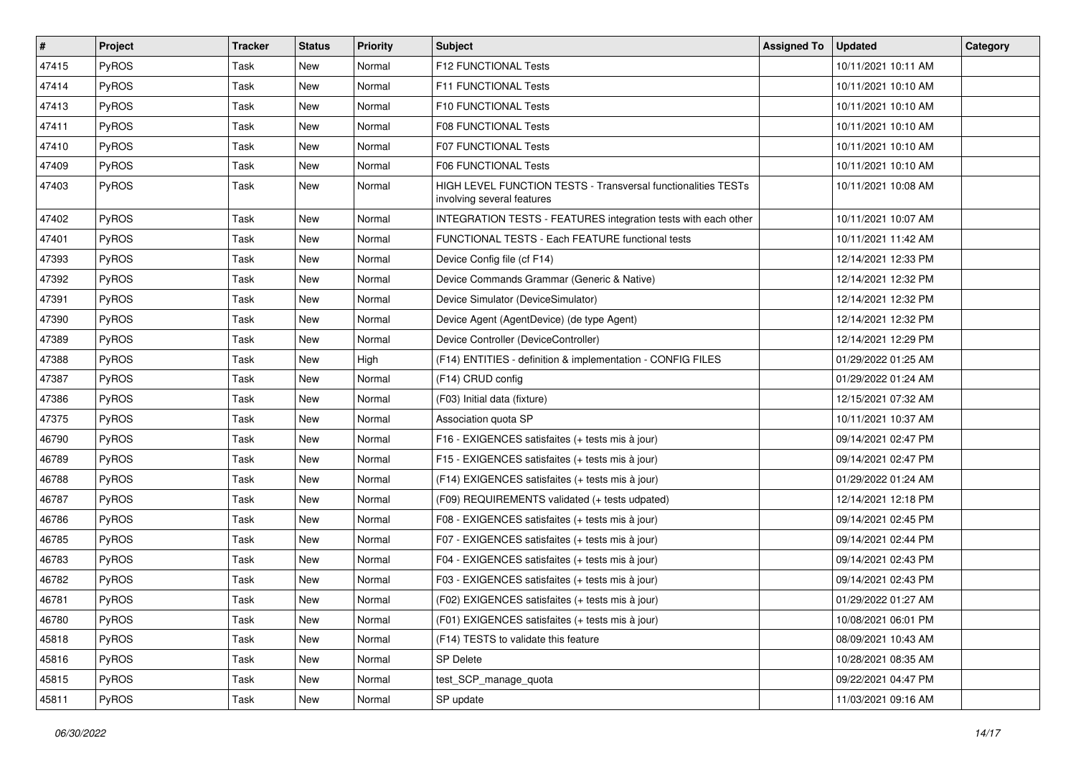| $\vert$ # | Project      | <b>Tracker</b> | <b>Status</b> | <b>Priority</b> | <b>Subject</b>                                                                                     | <b>Assigned To</b> | <b>Updated</b>      | Category |
|-----------|--------------|----------------|---------------|-----------------|----------------------------------------------------------------------------------------------------|--------------------|---------------------|----------|
| 47415     | PyROS        | Task           | New           | Normal          | F12 FUNCTIONAL Tests                                                                               |                    | 10/11/2021 10:11 AM |          |
| 47414     | PyROS        | Task           | New           | Normal          | F11 FUNCTIONAL Tests                                                                               |                    | 10/11/2021 10:10 AM |          |
| 47413     | <b>PyROS</b> | Task           | New           | Normal          | <b>F10 FUNCTIONAL Tests</b>                                                                        |                    | 10/11/2021 10:10 AM |          |
| 47411     | PyROS        | Task           | New           | Normal          | <b>F08 FUNCTIONAL Tests</b>                                                                        |                    | 10/11/2021 10:10 AM |          |
| 47410     | PyROS        | Task           | New           | Normal          | <b>F07 FUNCTIONAL Tests</b>                                                                        |                    | 10/11/2021 10:10 AM |          |
| 47409     | PyROS        | Task           | New           | Normal          | F06 FUNCTIONAL Tests                                                                               |                    | 10/11/2021 10:10 AM |          |
| 47403     | PyROS        | Task           | New           | Normal          | <b>HIGH LEVEL FUNCTION TESTS - Transversal functionalities TESTs</b><br>involving several features |                    | 10/11/2021 10:08 AM |          |
| 47402     | PyROS        | Task           | <b>New</b>    | Normal          | INTEGRATION TESTS - FEATURES integration tests with each other                                     |                    | 10/11/2021 10:07 AM |          |
| 47401     | PyROS        | Task           | New           | Normal          | FUNCTIONAL TESTS - Each FEATURE functional tests                                                   |                    | 10/11/2021 11:42 AM |          |
| 47393     | <b>PyROS</b> | Task           | New           | Normal          | Device Config file (cf F14)                                                                        |                    | 12/14/2021 12:33 PM |          |
| 47392     | PyROS        | Task           | New           | Normal          | Device Commands Grammar (Generic & Native)                                                         |                    | 12/14/2021 12:32 PM |          |
| 47391     | PyROS        | Task           | New           | Normal          | Device Simulator (DeviceSimulator)                                                                 |                    | 12/14/2021 12:32 PM |          |
| 47390     | PyROS        | Task           | New           | Normal          | Device Agent (AgentDevice) (de type Agent)                                                         |                    | 12/14/2021 12:32 PM |          |
| 47389     | PyROS        | Task           | New           | Normal          | Device Controller (DeviceController)                                                               |                    | 12/14/2021 12:29 PM |          |
| 47388     | PyROS        | Task           | New           | High            | (F14) ENTITIES - definition & implementation - CONFIG FILES                                        |                    | 01/29/2022 01:25 AM |          |
| 47387     | PyROS        | Task           | New           | Normal          | (F14) CRUD config                                                                                  |                    | 01/29/2022 01:24 AM |          |
| 47386     | PyROS        | Task           | New           | Normal          | (F03) Initial data (fixture)                                                                       |                    | 12/15/2021 07:32 AM |          |
| 47375     | PyROS        | Task           | New           | Normal          | Association quota SP                                                                               |                    | 10/11/2021 10:37 AM |          |
| 46790     | PyROS        | Task           | New           | Normal          | F16 - EXIGENCES satisfaites (+ tests mis à jour)                                                   |                    | 09/14/2021 02:47 PM |          |
| 46789     | PyROS        | Task           | New           | Normal          | F15 - EXIGENCES satisfaites (+ tests mis à jour)                                                   |                    | 09/14/2021 02:47 PM |          |
| 46788     | PyROS        | Task           | New           | Normal          | (F14) EXIGENCES satisfaites (+ tests mis à jour)                                                   |                    | 01/29/2022 01:24 AM |          |
| 46787     | PyROS        | Task           | New           | Normal          | (F09) REQUIREMENTS validated (+ tests udpated)                                                     |                    | 12/14/2021 12:18 PM |          |
| 46786     | PyROS        | Task           | New           | Normal          | F08 - EXIGENCES satisfaites (+ tests mis à jour)                                                   |                    | 09/14/2021 02:45 PM |          |
| 46785     | PyROS        | Task           | New           | Normal          | F07 - EXIGENCES satisfaites (+ tests mis à jour)                                                   |                    | 09/14/2021 02:44 PM |          |
| 46783     | <b>PyROS</b> | Task           | New           | Normal          | F04 - EXIGENCES satisfaites (+ tests mis à jour)                                                   |                    | 09/14/2021 02:43 PM |          |
| 46782     | PyROS        | Task           | New           | Normal          | F03 - EXIGENCES satisfaites (+ tests mis à jour)                                                   |                    | 09/14/2021 02:43 PM |          |
| 46781     | PyROS        | Task           | New           | Normal          | (F02) EXIGENCES satisfaites (+ tests mis à jour)                                                   |                    | 01/29/2022 01:27 AM |          |
| 46780     | PyROS        | Task           | New           | Normal          | (F01) EXIGENCES satisfaites (+ tests mis à jour)                                                   |                    | 10/08/2021 06:01 PM |          |
| 45818     | PyROS        | Task           | New           | Normal          | (F14) TESTS to validate this feature                                                               |                    | 08/09/2021 10:43 AM |          |
| 45816     | PyROS        | Task           | New           | Normal          | <b>SP Delete</b>                                                                                   |                    | 10/28/2021 08:35 AM |          |
| 45815     | PyROS        | Task           | New           | Normal          | test_SCP_manage_quota                                                                              |                    | 09/22/2021 04:47 PM |          |
| 45811     | PyROS        | Task           | New           | Normal          | SP update                                                                                          |                    | 11/03/2021 09:16 AM |          |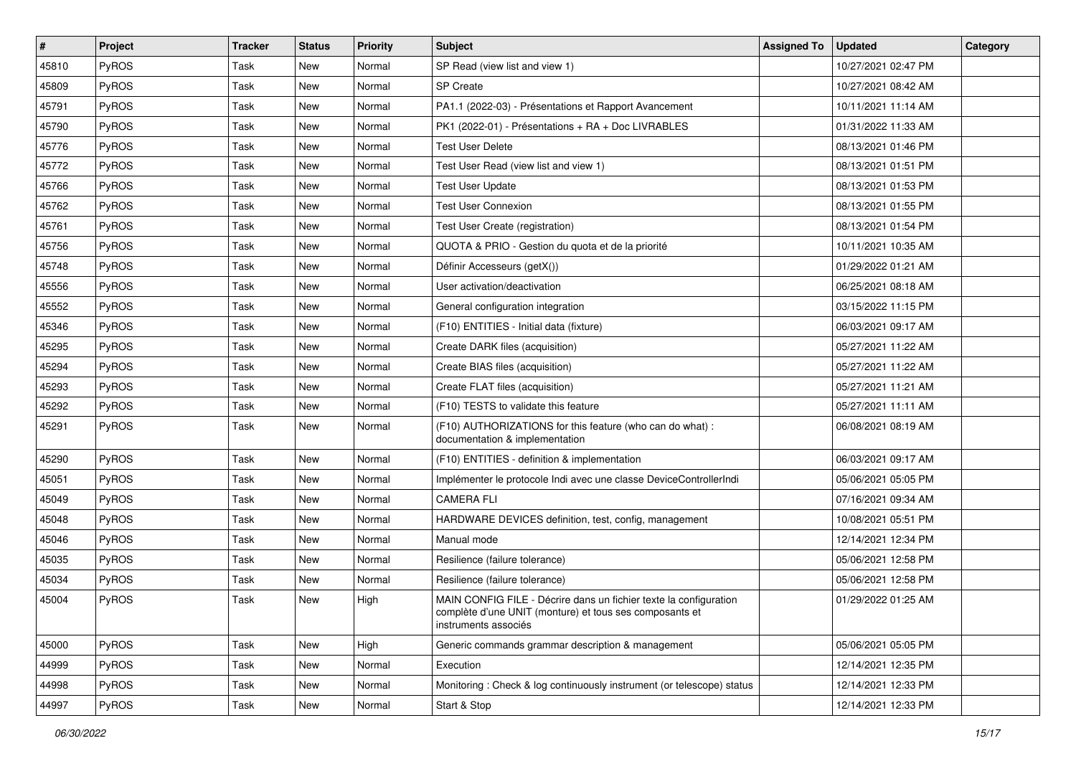| $\vert$ # | Project      | <b>Tracker</b> | <b>Status</b> | <b>Priority</b> | Subject                                                                                                                                              | <b>Assigned To</b> | <b>Updated</b>      | Category |
|-----------|--------------|----------------|---------------|-----------------|------------------------------------------------------------------------------------------------------------------------------------------------------|--------------------|---------------------|----------|
| 45810     | PyROS        | Task           | New           | Normal          | SP Read (view list and view 1)                                                                                                                       |                    | 10/27/2021 02:47 PM |          |
| 45809     | PyROS        | Task           | <b>New</b>    | Normal          | <b>SP</b> Create                                                                                                                                     |                    | 10/27/2021 08:42 AM |          |
| 45791     | <b>PyROS</b> | Task           | <b>New</b>    | Normal          | PA1.1 (2022-03) - Présentations et Rapport Avancement                                                                                                |                    | 10/11/2021 11:14 AM |          |
| 45790     | PyROS        | Task           | New           | Normal          | PK1 (2022-01) - Présentations + RA + Doc LIVRABLES                                                                                                   |                    | 01/31/2022 11:33 AM |          |
| 45776     | PyROS        | Task           | <b>New</b>    | Normal          | <b>Test User Delete</b>                                                                                                                              |                    | 08/13/2021 01:46 PM |          |
| 45772     | PyROS        | Task           | New           | Normal          | Test User Read (view list and view 1)                                                                                                                |                    | 08/13/2021 01:51 PM |          |
| 45766     | PyROS        | Task           | <b>New</b>    | Normal          | <b>Test User Update</b>                                                                                                                              |                    | 08/13/2021 01:53 PM |          |
| 45762     | PyROS        | Task           | New           | Normal          | <b>Test User Connexion</b>                                                                                                                           |                    | 08/13/2021 01:55 PM |          |
| 45761     | PyROS        | Task           | New           | Normal          | Test User Create (registration)                                                                                                                      |                    | 08/13/2021 01:54 PM |          |
| 45756     | PyROS        | Task           | <b>New</b>    | Normal          | QUOTA & PRIO - Gestion du quota et de la priorité                                                                                                    |                    | 10/11/2021 10:35 AM |          |
| 45748     | PyROS        | Task           | New           | Normal          | Définir Accesseurs (getX())                                                                                                                          |                    | 01/29/2022 01:21 AM |          |
| 45556     | PyROS        | Task           | <b>New</b>    | Normal          | User activation/deactivation                                                                                                                         |                    | 06/25/2021 08:18 AM |          |
| 45552     | PyROS        | Task           | New           | Normal          | General configuration integration                                                                                                                    |                    | 03/15/2022 11:15 PM |          |
| 45346     | PyROS        | Task           | New           | Normal          | (F10) ENTITIES - Initial data (fixture)                                                                                                              |                    | 06/03/2021 09:17 AM |          |
| 45295     | PyROS        | Task           | New           | Normal          | Create DARK files (acquisition)                                                                                                                      |                    | 05/27/2021 11:22 AM |          |
| 45294     | <b>PyROS</b> | Task           | New           | Normal          | Create BIAS files (acquisition)                                                                                                                      |                    | 05/27/2021 11:22 AM |          |
| 45293     | <b>PyROS</b> | Task           | New           | Normal          | Create FLAT files (acquisition)                                                                                                                      |                    | 05/27/2021 11:21 AM |          |
| 45292     | PyROS        | Task           | New           | Normal          | (F10) TESTS to validate this feature                                                                                                                 |                    | 05/27/2021 11:11 AM |          |
| 45291     | PyROS        | Task           | New           | Normal          | (F10) AUTHORIZATIONS for this feature (who can do what) :<br>documentation & implementation                                                          |                    | 06/08/2021 08:19 AM |          |
| 45290     | PyROS        | Task           | New           | Normal          | (F10) ENTITIES - definition & implementation                                                                                                         |                    | 06/03/2021 09:17 AM |          |
| 45051     | PyROS        | Task           | New           | Normal          | Implémenter le protocole Indi avec une classe DeviceControllerIndi                                                                                   |                    | 05/06/2021 05:05 PM |          |
| 45049     | PyROS        | Task           | <b>New</b>    | Normal          | <b>CAMERA FLI</b>                                                                                                                                    |                    | 07/16/2021 09:34 AM |          |
| 45048     | PyROS        | Task           | New           | Normal          | HARDWARE DEVICES definition, test, config, management                                                                                                |                    | 10/08/2021 05:51 PM |          |
| 45046     | PyROS        | Task           | <b>New</b>    | Normal          | Manual mode                                                                                                                                          |                    | 12/14/2021 12:34 PM |          |
| 45035     | <b>PyROS</b> | Task           | New           | Normal          | Resilience (failure tolerance)                                                                                                                       |                    | 05/06/2021 12:58 PM |          |
| 45034     | PyROS        | Task           | New           | Normal          | Resilience (failure tolerance)                                                                                                                       |                    | 05/06/2021 12:58 PM |          |
| 45004     | PyROS        | Task           | New           | High            | MAIN CONFIG FILE - Décrire dans un fichier texte la configuration<br>complète d'une UNIT (monture) et tous ses composants et<br>instruments associés |                    | 01/29/2022 01:25 AM |          |
| 45000     | PyROS        | Task           | New           | High            | Generic commands grammar description & management                                                                                                    |                    | 05/06/2021 05:05 PM |          |
| 44999     | PyROS        | Task           | New           | Normal          | Execution                                                                                                                                            |                    | 12/14/2021 12:35 PM |          |
| 44998     | PyROS        | Task           | New           | Normal          | Monitoring: Check & log continuously instrument (or telescope) status                                                                                |                    | 12/14/2021 12:33 PM |          |
| 44997     | PyROS        | Task           | New           | Normal          | Start & Stop                                                                                                                                         |                    | 12/14/2021 12:33 PM |          |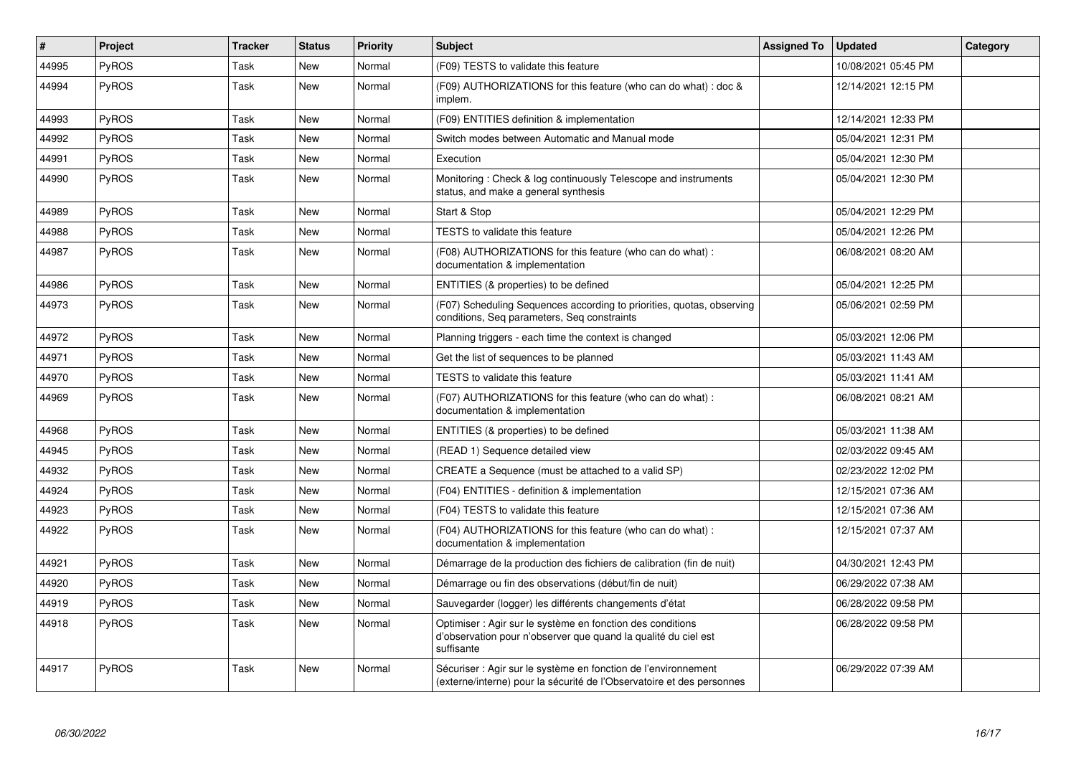| $\sharp$ | <b>Project</b> | <b>Tracker</b> | <b>Status</b> | <b>Priority</b> | <b>Subject</b>                                                                                                                             | <b>Assigned To</b> | <b>Updated</b>      | Category |
|----------|----------------|----------------|---------------|-----------------|--------------------------------------------------------------------------------------------------------------------------------------------|--------------------|---------------------|----------|
| 44995    | PyROS          | Task           | <b>New</b>    | Normal          | (F09) TESTS to validate this feature                                                                                                       |                    | 10/08/2021 05:45 PM |          |
| 44994    | PyROS          | Task           | New           | Normal          | (F09) AUTHORIZATIONS for this feature (who can do what) : doc &<br>implem.                                                                 |                    | 12/14/2021 12:15 PM |          |
| 44993    | PyROS          | Task           | <b>New</b>    | Normal          | (F09) ENTITIES definition & implementation                                                                                                 |                    | 12/14/2021 12:33 PM |          |
| 44992    | PyROS          | Task           | New           | Normal          | Switch modes between Automatic and Manual mode                                                                                             |                    | 05/04/2021 12:31 PM |          |
| 44991    | PyROS          | Task           | New           | Normal          | Execution                                                                                                                                  |                    | 05/04/2021 12:30 PM |          |
| 44990    | PyROS          | Task           | <b>New</b>    | Normal          | Monitoring: Check & log continuously Telescope and instruments<br>status, and make a general synthesis                                     |                    | 05/04/2021 12:30 PM |          |
| 44989    | PyROS          | Task           | New           | Normal          | Start & Stop                                                                                                                               |                    | 05/04/2021 12:29 PM |          |
| 44988    | PyROS          | Task           | New           | Normal          | TESTS to validate this feature                                                                                                             |                    | 05/04/2021 12:26 PM |          |
| 44987    | <b>PyROS</b>   | Task           | New           | Normal          | (F08) AUTHORIZATIONS for this feature (who can do what) :<br>documentation & implementation                                                |                    | 06/08/2021 08:20 AM |          |
| 44986    | PyROS          | Task           | New           | Normal          | ENTITIES (& properties) to be defined                                                                                                      |                    | 05/04/2021 12:25 PM |          |
| 44973    | <b>PyROS</b>   | Task           | New           | Normal          | (F07) Scheduling Sequences according to priorities, quotas, observing<br>conditions, Seq parameters, Seq constraints                       |                    | 05/06/2021 02:59 PM |          |
| 44972    | PyROS          | Task           | New           | Normal          | Planning triggers - each time the context is changed                                                                                       |                    | 05/03/2021 12:06 PM |          |
| 44971    | <b>PyROS</b>   | Task           | New           | Normal          | Get the list of sequences to be planned                                                                                                    |                    | 05/03/2021 11:43 AM |          |
| 44970    | <b>PyROS</b>   | Task           | New           | Normal          | TESTS to validate this feature                                                                                                             |                    | 05/03/2021 11:41 AM |          |
| 44969    | PyROS          | Task           | New           | Normal          | (F07) AUTHORIZATIONS for this feature (who can do what) :<br>documentation & implementation                                                |                    | 06/08/2021 08:21 AM |          |
| 44968    | PyROS          | Task           | New           | Normal          | ENTITIES (& properties) to be defined                                                                                                      |                    | 05/03/2021 11:38 AM |          |
| 44945    | <b>PyROS</b>   | Task           | New           | Normal          | (READ 1) Sequence detailed view                                                                                                            |                    | 02/03/2022 09:45 AM |          |
| 44932    | PyROS          | Task           | <b>New</b>    | Normal          | CREATE a Sequence (must be attached to a valid SP)                                                                                         |                    | 02/23/2022 12:02 PM |          |
| 44924    | PyROS          | Task           | New           | Normal          | (F04) ENTITIES - definition & implementation                                                                                               |                    | 12/15/2021 07:36 AM |          |
| 44923    | PyROS          | Task           | New           | Normal          | (F04) TESTS to validate this feature                                                                                                       |                    | 12/15/2021 07:36 AM |          |
| 44922    | PyROS          | Task           | New           | Normal          | (F04) AUTHORIZATIONS for this feature (who can do what) :<br>documentation & implementation                                                |                    | 12/15/2021 07:37 AM |          |
| 44921    | PyROS          | Task           | New           | Normal          | Démarrage de la production des fichiers de calibration (fin de nuit)                                                                       |                    | 04/30/2021 12:43 PM |          |
| 44920    | PyROS          | Task           | New           | Normal          | Démarrage ou fin des observations (début/fin de nuit)                                                                                      |                    | 06/29/2022 07:38 AM |          |
| 44919    | PyROS          | Task           | New           | Normal          | Sauvegarder (logger) les différents changements d'état                                                                                     |                    | 06/28/2022 09:58 PM |          |
| 44918    | <b>PyROS</b>   | Task           | New           | Normal          | Optimiser : Agir sur le système en fonction des conditions<br>d'observation pour n'observer que quand la qualité du ciel est<br>suffisante |                    | 06/28/2022 09:58 PM |          |
| 44917    | PyROS          | Task           | <b>New</b>    | Normal          | Sécuriser : Agir sur le système en fonction de l'environnement<br>(externe/interne) pour la sécurité de l'Observatoire et des personnes    |                    | 06/29/2022 07:39 AM |          |